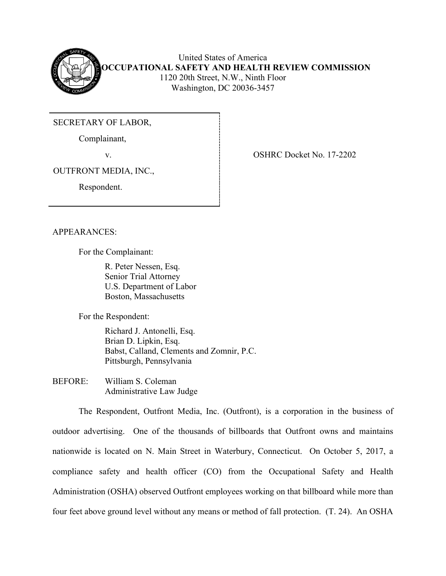

United States of America **OCCUPATIONAL SAFETY AND HEALTH REVIEW COMMISSION** 1120 20th Street, N.W., Ninth Floor Washington, DC 20036-3457

SECRETARY OF LABOR,

Complainant,

v. COSHRC Docket No. 17-2202

OUTFRONT MEDIA, INC.,

Respondent.

APPEARANCES:

For the Complainant:

 R. Peter Nessen, Esq. Senior Trial Attorney U.S. Department of Labor Boston, Massachusetts

For the Respondent:

 Richard J. Antonelli, Esq. Brian D. Lipkin, Esq. Babst, Calland, Clements and Zomnir, P.C. Pittsburgh, Pennsylvania

BEFORE: William S. Coleman Administrative Law Judge

The Respondent, Outfront Media, Inc. (Outfront), is a corporation in the business of outdoor advertising. One of the thousands of billboards that Outfront owns and maintains nationwide is located on N. Main Street in Waterbury, Connecticut. On October 5, 2017, a compliance safety and health officer (CO) from the Occupational Safety and Health Administration (OSHA) observed Outfront employees working on that billboard while more than four feet above ground level without any means or method of fall protection. (T. 24). An OSHA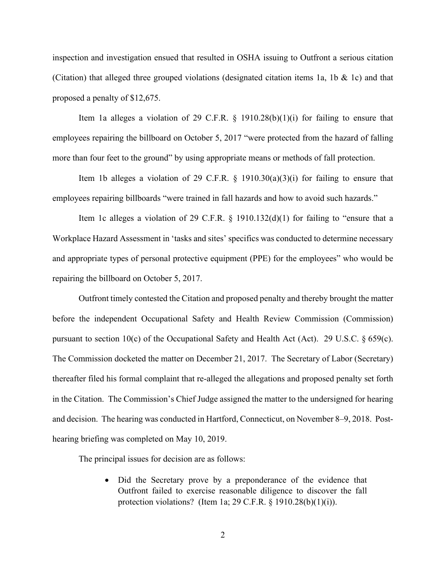inspection and investigation ensued that resulted in OSHA issuing to Outfront a serious citation (Citation) that alleged three grouped violations (designated citation items 1a, 1b & 1c) and that proposed a penalty of \$12,675.

Item 1a alleges a violation of 29 C.F.R.  $\S$  1910.28(b)(1)(i) for failing to ensure that employees repairing the billboard on October 5, 2017 "were protected from the hazard of falling more than four feet to the ground" by using appropriate means or methods of fall protection.

Item 1b alleges a violation of 29 C.F.R.  $\frac{1}{2}$  1910.30(a)(3)(i) for failing to ensure that employees repairing billboards "were trained in fall hazards and how to avoid such hazards."

Item 1c alleges a violation of 29 C.F.R.  $\S$  1910.132(d)(1) for failing to "ensure that a Workplace Hazard Assessment in 'tasks and sites' specifics was conducted to determine necessary and appropriate types of personal protective equipment (PPE) for the employees" who would be repairing the billboard on October 5, 2017.

Outfront timely contested the Citation and proposed penalty and thereby brought the matter before the independent Occupational Safety and Health Review Commission (Commission) pursuant to section 10(c) of the Occupational Safety and Health Act (Act). 29 U.S.C. § 659(c). The Commission docketed the matter on December 21, 2017. The Secretary of Labor (Secretary) thereafter filed his formal complaint that re-alleged the allegations and proposed penalty set forth in the Citation. The Commission's Chief Judge assigned the matter to the undersigned for hearing and decision. The hearing was conducted in Hartford, Connecticut, on November 8–9, 2018. Posthearing briefing was completed on May 10, 2019.

The principal issues for decision are as follows:

• Did the Secretary prove by a preponderance of the evidence that Outfront failed to exercise reasonable diligence to discover the fall protection violations? (Item 1a; 29 C.F.R. § 1910.28(b)(1)(i)).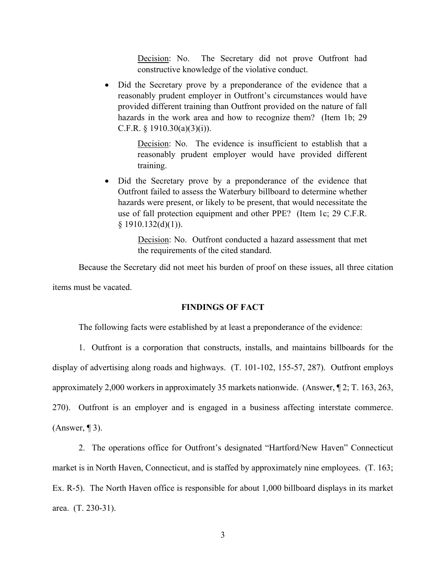Decision: No. The Secretary did not prove Outfront had constructive knowledge of the violative conduct.

• Did the Secretary prove by a preponderance of the evidence that a reasonably prudent employer in Outfront's circumstances would have provided different training than Outfront provided on the nature of fall hazards in the work area and how to recognize them? (Item 1b; 29) C.F.R. § 1910.30(a)(3)(i)).

> Decision: No. The evidence is insufficient to establish that a reasonably prudent employer would have provided different training.

• Did the Secretary prove by a preponderance of the evidence that Outfront failed to assess the Waterbury billboard to determine whether hazards were present, or likely to be present, that would necessitate the use of fall protection equipment and other PPE? (Item 1c; 29 C.F.R.  $§$  1910.132(d)(1)).

> Decision: No. Outfront conducted a hazard assessment that met the requirements of the cited standard.

Because the Secretary did not meet his burden of proof on these issues, all three citation items must be vacated.

### **FINDINGS OF FACT**

The following facts were established by at least a preponderance of the evidence:

1. Outfront is a corporation that constructs, installs, and maintains billboards for the display of advertising along roads and highways. (T. 101-102, 155-57, 287). Outfront employs approximately 2,000 workers in approximately 35 markets nationwide. (Answer, ¶ 2; T. 163, 263, 270). Outfront is an employer and is engaged in a business affecting interstate commerce.  $(Answer, 13).$ 

2. The operations office for Outfront's designated "Hartford/New Haven" Connecticut market is in North Haven, Connecticut, and is staffed by approximately nine employees. (T. 163; Ex. R-5). The North Haven office is responsible for about 1,000 billboard displays in its market area. (T. 230-31).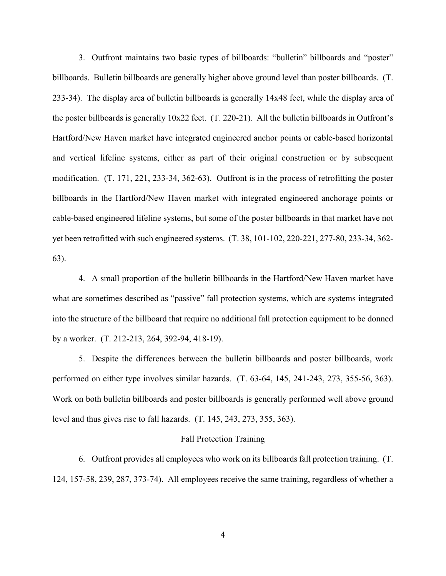3. Outfront maintains two basic types of billboards: "bulletin" billboards and "poster" billboards. Bulletin billboards are generally higher above ground level than poster billboards. (T. 233-34). The display area of bulletin billboards is generally 14x48 feet, while the display area of the poster billboards is generally 10x22 feet. (T. 220-21). All the bulletin billboards in Outfront's Hartford/New Haven market have integrated engineered anchor points or cable-based horizontal and vertical lifeline systems, either as part of their original construction or by subsequent modification. (T. 171, 221, 233-34, 362-63). Outfront is in the process of retrofitting the poster billboards in the Hartford/New Haven market with integrated engineered anchorage points or cable-based engineered lifeline systems, but some of the poster billboards in that market have not yet been retrofitted with such engineered systems. (T. 38, 101-102, 220-221, 277-80, 233-34, 362- 63).

4. A small proportion of the bulletin billboards in the Hartford/New Haven market have what are sometimes described as "passive" fall protection systems, which are systems integrated into the structure of the billboard that require no additional fall protection equipment to be donned by a worker. (T. 212-213, 264, 392-94, 418-19).

5. Despite the differences between the bulletin billboards and poster billboards, work performed on either type involves similar hazards. (T. 63-64, 145, 241-243, 273, 355-56, 363). Work on both bulletin billboards and poster billboards is generally performed well above ground level and thus gives rise to fall hazards. (T. 145, 243, 273, 355, 363).

#### Fall Protection Training

6. Outfront provides all employees who work on its billboards fall protection training. (T. 124, 157-58, 239, 287, 373-74). All employees receive the same training, regardless of whether a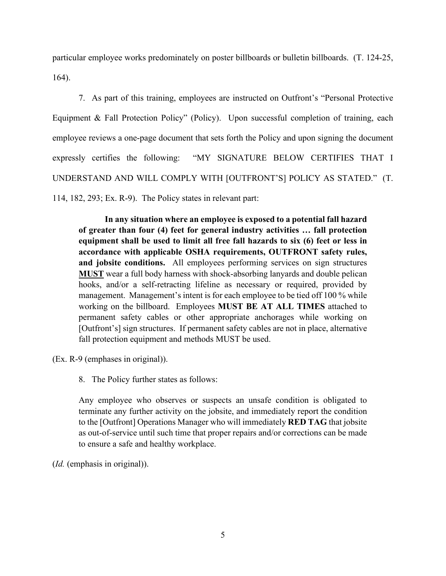particular employee works predominately on poster billboards or bulletin billboards. (T. 124-25, 164).

7. As part of this training, employees are instructed on Outfront's "Personal Protective Equipment & Fall Protection Policy" (Policy). Upon successful completion of training, each employee reviews a one-page document that sets forth the Policy and upon signing the document expressly certifies the following: "MY SIGNATURE BELOW CERTIFIES THAT I UNDERSTAND AND WILL COMPLY WITH [OUTFRONT'S] POLICY AS STATED." (T. 114, 182, 293; Ex. R-9). The Policy states in relevant part:

**In any situation where an employee is exposed to a potential fall hazard of greater than four (4) feet for general industry activities … fall protection equipment shall be used to limit all free fall hazards to six (6) feet or less in accordance with applicable OSHA requirements, OUTFRONT safety rules, and jobsite conditions.** All employees performing services on sign structures **MUST** wear a full body harness with shock-absorbing lanyards and double pelican hooks, and/or a self-retracting lifeline as necessary or required, provided by management. Management's intent is for each employee to be tied off 100 % while working on the billboard. Employees **MUST BE AT ALL TIMES** attached to permanent safety cables or other appropriate anchorages while working on [Outfront's] sign structures. If permanent safety cables are not in place, alternative fall protection equipment and methods MUST be used.

(Ex. R-9 (emphases in original)).

8. The Policy further states as follows:

Any employee who observes or suspects an unsafe condition is obligated to terminate any further activity on the jobsite, and immediately report the condition to the [Outfront] Operations Manager who will immediately **RED TAG** that jobsite as out-of-service until such time that proper repairs and/or corrections can be made to ensure a safe and healthy workplace.

(*Id.* (emphasis in original)).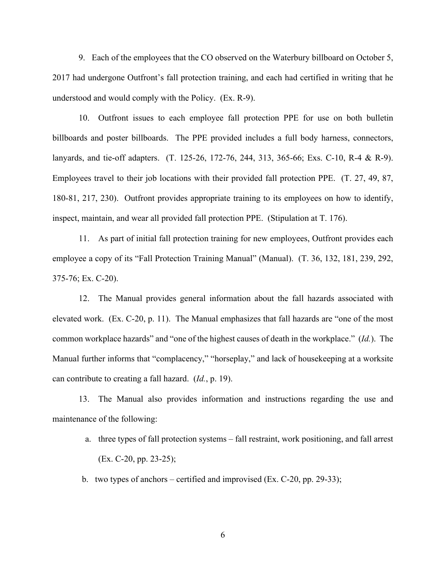9. Each of the employees that the CO observed on the Waterbury billboard on October 5, 2017 had undergone Outfront's fall protection training, and each had certified in writing that he understood and would comply with the Policy. (Ex. R-9).

10. Outfront issues to each employee fall protection PPE for use on both bulletin billboards and poster billboards. The PPE provided includes a full body harness, connectors, lanyards, and tie-off adapters. (T. 125-26, 172-76, 244, 313, 365-66; Exs. C-10, R-4 & R-9). Employees travel to their job locations with their provided fall protection PPE. (T. 27, 49, 87, 180-81, 217, 230). Outfront provides appropriate training to its employees on how to identify, inspect, maintain, and wear all provided fall protection PPE. (Stipulation at T. 176).

11. As part of initial fall protection training for new employees, Outfront provides each employee a copy of its "Fall Protection Training Manual" (Manual). (T. 36, 132, 181, 239, 292, 375-76; Ex. C-20).

12. The Manual provides general information about the fall hazards associated with elevated work. (Ex. C-20, p. 11). The Manual emphasizes that fall hazards are "one of the most common workplace hazards" and "one of the highest causes of death in the workplace." (*Id.*). The Manual further informs that "complacency," "horseplay," and lack of housekeeping at a worksite can contribute to creating a fall hazard. (*Id.*, p. 19).

13. The Manual also provides information and instructions regarding the use and maintenance of the following:

- a. three types of fall protection systems fall restraint, work positioning, and fall arrest (Ex. C-20, pp. 23-25);
- b. two types of anchors certified and improvised (Ex. C-20, pp. 29-33);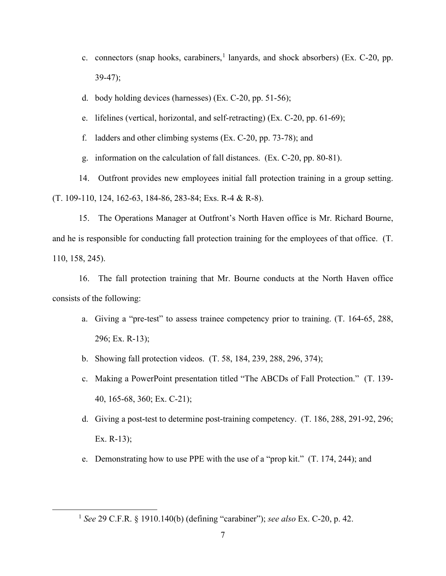- c. connectors (snap hooks, carabiners,  $\frac{1}{2}$  $\frac{1}{2}$  $\frac{1}{2}$  lanyards, and shock absorbers) (Ex. C-20, pp. 39-47);
- d. body holding devices (harnesses) (Ex. C-20, pp. 51-56);
- e. lifelines (vertical, horizontal, and self-retracting) (Ex. C-20, pp. 61-69);
- f. ladders and other climbing systems (Ex. C-20, pp. 73-78); and
- g. information on the calculation of fall distances. (Ex. C-20, pp. 80-81).

14. Outfront provides new employees initial fall protection training in a group setting. (T. 109-110, 124, 162-63, 184-86, 283-84; Exs. R-4 & R-8).

15. The Operations Manager at Outfront's North Haven office is Mr. Richard Bourne, and he is responsible for conducting fall protection training for the employees of that office. (T. 110, 158, 245).

16. The fall protection training that Mr. Bourne conducts at the North Haven office consists of the following:

- a. Giving a "pre-test" to assess trainee competency prior to training. (T. 164-65, 288, 296; Ex. R-13);
- b. Showing fall protection videos. (T. 58, 184, 239, 288, 296, 374);
- c. Making a PowerPoint presentation titled "The ABCDs of Fall Protection." (T. 139- 40, 165-68, 360; Ex. C-21);
- d. Giving a post-test to determine post-training competency. (T. 186, 288, 291-92, 296; Ex. R-13);
- e. Demonstrating how to use PPE with the use of a "prop kit." (T. 174, 244); and

<span id="page-6-0"></span><sup>1</sup> *See* 29 C.F.R. § 1910.140(b) (defining "carabiner"); *see also* Ex. C-20, p. 42.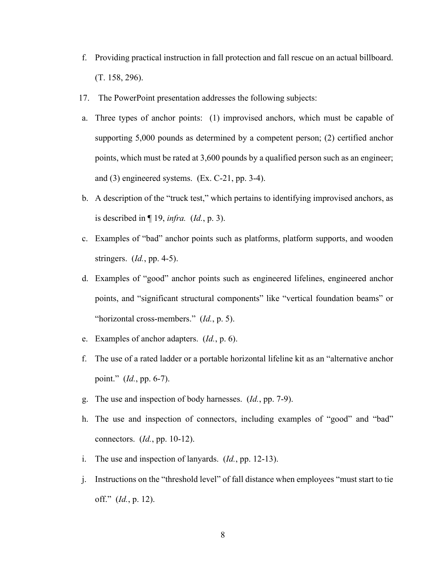- f. Providing practical instruction in fall protection and fall rescue on an actual billboard. (T. 158, 296).
- 17. The PowerPoint presentation addresses the following subjects:
- a. Three types of anchor points: (1) improvised anchors, which must be capable of supporting 5,000 pounds as determined by a competent person; (2) certified anchor points, which must be rated at 3,600 pounds by a qualified person such as an engineer; and (3) engineered systems. (Ex. C-21, pp. 3-4).
- b. A description of the "truck test," which pertains to identifying improvised anchors, as is described in ¶ 19, *infra.* (*Id.*, p. 3).
- c. Examples of "bad" anchor points such as platforms, platform supports, and wooden stringers. (*Id.*, pp. 4-5).
- d. Examples of "good" anchor points such as engineered lifelines, engineered anchor points, and "significant structural components" like "vertical foundation beams" or "horizontal cross-members." (*Id.*, p. 5).
- e. Examples of anchor adapters. (*Id.*, p. 6).
- f. The use of a rated ladder or a portable horizontal lifeline kit as an "alternative anchor point." (*Id.*, pp. 6-7).
- g. The use and inspection of body harnesses. (*Id.*, pp. 7-9).
- h. The use and inspection of connectors, including examples of "good" and "bad" connectors. (*Id.*, pp. 10-12).
- i. The use and inspection of lanyards. (*Id.*, pp. 12-13).
- j. Instructions on the "threshold level" of fall distance when employees "must start to tie off." (*Id.*, p. 12).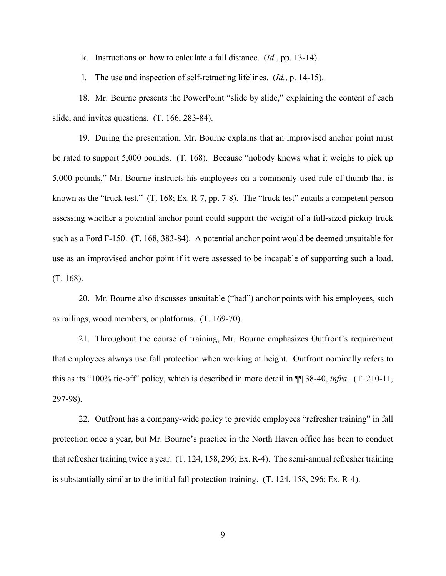k. Instructions on how to calculate a fall distance. (*Id.*, pp. 13-14).

l. The use and inspection of self-retracting lifelines. (*Id.*, p. 14-15).

18. Mr. Bourne presents the PowerPoint "slide by slide," explaining the content of each slide, and invites questions. (T. 166, 283-84).

19. During the presentation, Mr. Bourne explains that an improvised anchor point must be rated to support 5,000 pounds. (T. 168). Because "nobody knows what it weighs to pick up 5,000 pounds," Mr. Bourne instructs his employees on a commonly used rule of thumb that is known as the "truck test." (T. 168; Ex. R-7, pp. 7-8). The "truck test" entails a competent person assessing whether a potential anchor point could support the weight of a full-sized pickup truck such as a Ford F-150. (T. 168, 383-84). A potential anchor point would be deemed unsuitable for use as an improvised anchor point if it were assessed to be incapable of supporting such a load. (T. 168).

20. Mr. Bourne also discusses unsuitable ("bad") anchor points with his employees, such as railings, wood members, or platforms. (T. 169-70).

21. Throughout the course of training, Mr. Bourne emphasizes Outfront's requirement that employees always use fall protection when working at height. Outfront nominally refers to this as its "100% tie-off" policy, which is described in more detail in ¶¶ 38-40, *infra*. (T. 210-11, 297-98).

22. Outfront has a company-wide policy to provide employees "refresher training" in fall protection once a year, but Mr. Bourne's practice in the North Haven office has been to conduct that refresher training twice a year. (T. 124, 158, 296; Ex. R-4). The semi-annual refresher training is substantially similar to the initial fall protection training. (T. 124, 158, 296; Ex. R-4).

9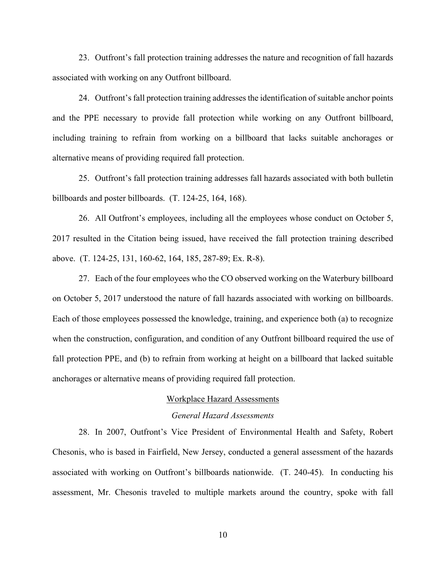23. Outfront's fall protection training addresses the nature and recognition of fall hazards associated with working on any Outfront billboard.

24. Outfront's fall protection training addresses the identification of suitable anchor points and the PPE necessary to provide fall protection while working on any Outfront billboard, including training to refrain from working on a billboard that lacks suitable anchorages or alternative means of providing required fall protection.

25. Outfront's fall protection training addresses fall hazards associated with both bulletin billboards and poster billboards. (T. 124-25, 164, 168).

26. All Outfront's employees, including all the employees whose conduct on October 5, 2017 resulted in the Citation being issued, have received the fall protection training described above. (T. 124-25, 131, 160-62, 164, 185, 287-89; Ex. R-8).

27. Each of the four employees who the CO observed working on the Waterbury billboard on October 5, 2017 understood the nature of fall hazards associated with working on billboards. Each of those employees possessed the knowledge, training, and experience both (a) to recognize when the construction, configuration, and condition of any Outfront billboard required the use of fall protection PPE, and (b) to refrain from working at height on a billboard that lacked suitable anchorages or alternative means of providing required fall protection.

# Workplace Hazard Assessments

## *General Hazard Assessments*

28. In 2007, Outfront's Vice President of Environmental Health and Safety, Robert Chesonis, who is based in Fairfield, New Jersey, conducted a general assessment of the hazards associated with working on Outfront's billboards nationwide. (T. 240-45). In conducting his assessment, Mr. Chesonis traveled to multiple markets around the country, spoke with fall

10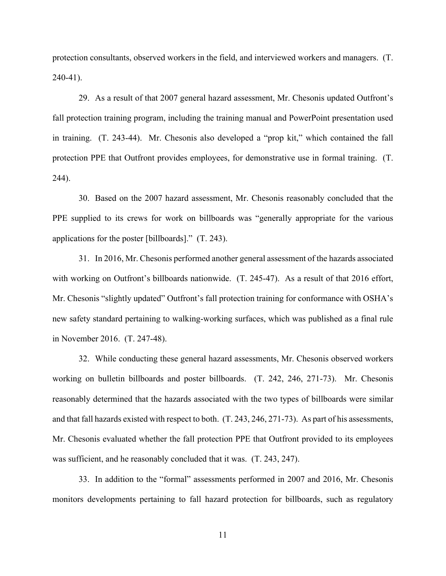protection consultants, observed workers in the field, and interviewed workers and managers. (T. 240-41).

29. As a result of that 2007 general hazard assessment, Mr. Chesonis updated Outfront's fall protection training program, including the training manual and PowerPoint presentation used in training. (T. 243-44). Mr. Chesonis also developed a "prop kit," which contained the fall protection PPE that Outfront provides employees, for demonstrative use in formal training. (T. 244).

30. Based on the 2007 hazard assessment, Mr. Chesonis reasonably concluded that the PPE supplied to its crews for work on billboards was "generally appropriate for the various applications for the poster [billboards]." (T. 243).

31. In 2016, Mr. Chesonis performed another general assessment of the hazards associated with working on Outfront's billboards nationwide. (T. 245-47). As a result of that 2016 effort, Mr. Chesonis "slightly updated" Outfront's fall protection training for conformance with OSHA's new safety standard pertaining to walking-working surfaces, which was published as a final rule in November 2016. (T. 247-48).

32. While conducting these general hazard assessments, Mr. Chesonis observed workers working on bulletin billboards and poster billboards. (T. 242, 246, 271-73). Mr. Chesonis reasonably determined that the hazards associated with the two types of billboards were similar and that fall hazards existed with respect to both. (T. 243, 246, 271-73). As part of his assessments, Mr. Chesonis evaluated whether the fall protection PPE that Outfront provided to its employees was sufficient, and he reasonably concluded that it was. (T. 243, 247).

33. In addition to the "formal" assessments performed in 2007 and 2016, Mr. Chesonis monitors developments pertaining to fall hazard protection for billboards, such as regulatory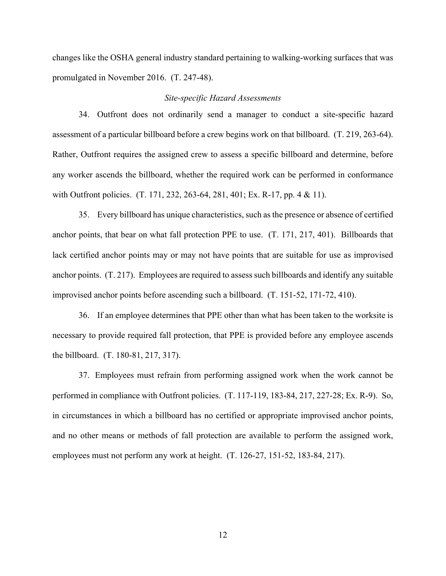changes like the OSHA general industry standard pertaining to walking-working surfaces that was promulgated in November 2016. (T. 247-48).

#### *Site-specific Hazard Assessments*

34. Outfront does not ordinarily send a manager to conduct a site-specific hazard assessment of a particular billboard before a crew begins work on that billboard. (T. 219, 263-64). Rather, Outfront requires the assigned crew to assess a specific billboard and determine, before any worker ascends the billboard, whether the required work can be performed in conformance with Outfront policies. (T. 171, 232, 263-64, 281, 401; Ex. R-17, pp. 4 & 11).

35. Every billboard has unique characteristics, such as the presence or absence of certified anchor points, that bear on what fall protection PPE to use. (T. 171, 217, 401). Billboards that lack certified anchor points may or may not have points that are suitable for use as improvised anchor points. (T. 217). Employees are required to assess such billboards and identify any suitable improvised anchor points before ascending such a billboard. (T. 151-52, 171-72, 410).

36. If an employee determines that PPE other than what has been taken to the worksite is necessary to provide required fall protection, that PPE is provided before any employee ascends the billboard. (T. 180-81, 217, 317).

37. Employees must refrain from performing assigned work when the work cannot be performed in compliance with Outfront policies. (T. 117-119, 183-84, 217, 227-28; Ex. R-9). So, in circumstances in which a billboard has no certified or appropriate improvised anchor points, and no other means or methods of fall protection are available to perform the assigned work, employees must not perform any work at height. (T. 126-27, 151-52, 183-84, 217).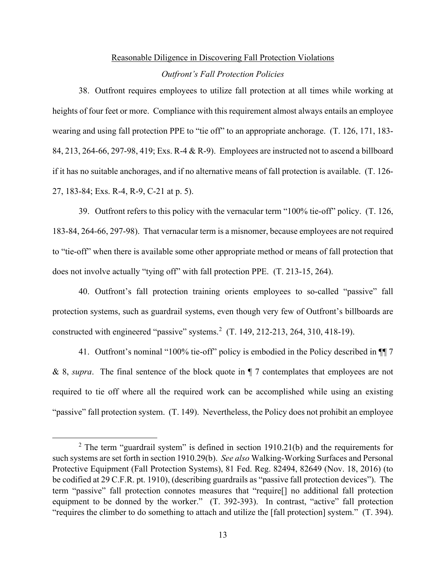# Reasonable Diligence in Discovering Fall Protection Violations *Outfront's Fall Protection Policies*

38. Outfront requires employees to utilize fall protection at all times while working at heights of four feet or more. Compliance with this requirement almost always entails an employee wearing and using fall protection PPE to "tie off" to an appropriate anchorage. (T. 126, 171, 183- 84, 213, 264-66, 297-98, 419; Exs. R-4 & R-9). Employees are instructed not to ascend a billboard if it has no suitable anchorages, and if no alternative means of fall protection is available. (T. 126- 27, 183-84; Exs. R-4, R-9, C-21 at p. 5).

39. Outfront refers to this policy with the vernacular term "100% tie-off" policy. (T. 126, 183-84, 264-66, 297-98). That vernacular term is a misnomer, because employees are not required to "tie-off" when there is available some other appropriate method or means of fall protection that does not involve actually "tying off" with fall protection PPE. (T. 213-15, 264).

40. Outfront's fall protection training orients employees to so-called "passive" fall protection systems, such as guardrail systems, even though very few of Outfront's billboards are constructed with engineered "passive" systems.<sup>[2](#page-12-0)</sup> (T. 149, 212-213, 264, 310, 418-19).

41. Outfront's nominal "100% tie-off" policy is embodied in the Policy described in ¶¶ 7 & 8, *supra*. The final sentence of the block quote in ¶ 7 contemplates that employees are not required to tie off where all the required work can be accomplished while using an existing "passive" fall protection system. (T. 149). Nevertheless, the Policy does not prohibit an employee

<span id="page-12-0"></span><sup>&</sup>lt;sup>2</sup> The term "guardrail system" is defined in section 1910.21(b) and the requirements for such systems are set forth in section 1910.29(b). *See also* Walking-Working Surfaces and Personal Protective Equipment (Fall Protection Systems), 81 Fed. Reg. 82494, 82649 (Nov. 18, 2016) (to be codified at 29 C.F.R. pt. 1910), (describing guardrails as "passive fall protection devices"). The term "passive" fall protection connotes measures that "require[] no additional fall protection equipment to be donned by the worker." (T. 392-393). In contrast, "active" fall protection "requires the climber to do something to attach and utilize the [fall protection] system." (T. 394).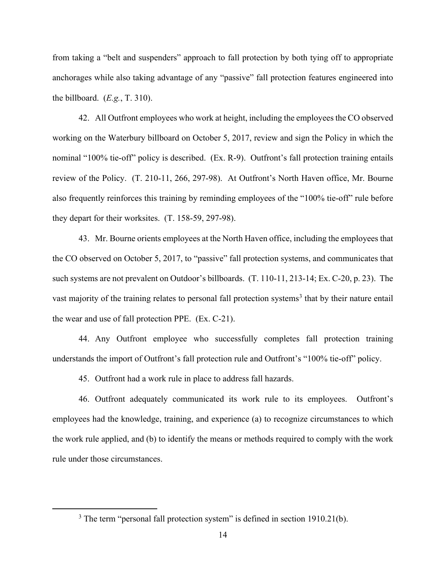from taking a "belt and suspenders" approach to fall protection by both tying off to appropriate anchorages while also taking advantage of any "passive" fall protection features engineered into the billboard. (*E.g.*, T. 310).

42. All Outfront employees who work at height, including the employees the CO observed working on the Waterbury billboard on October 5, 2017, review and sign the Policy in which the nominal "100% tie-off" policy is described. (Ex. R-9). Outfront's fall protection training entails review of the Policy. (T. 210-11, 266, 297-98). At Outfront's North Haven office, Mr. Bourne also frequently reinforces this training by reminding employees of the "100% tie-off" rule before they depart for their worksites. (T. 158-59, 297-98).

43. Mr. Bourne orients employees at the North Haven office, including the employees that the CO observed on October 5, 2017, to "passive" fall protection systems, and communicates that such systems are not prevalent on Outdoor's billboards. (T. 110-11, 213-14; Ex. C-20, p. 23). The vast majority of the training relates to personal fall protection systems<sup>[3](#page-13-0)</sup> that by their nature entail the wear and use of fall protection PPE. (Ex. C-21).

44. Any Outfront employee who successfully completes fall protection training understands the import of Outfront's fall protection rule and Outfront's "100% tie-off" policy.

45. Outfront had a work rule in place to address fall hazards.

46. Outfront adequately communicated its work rule to its employees. Outfront's employees had the knowledge, training, and experience (a) to recognize circumstances to which the work rule applied, and (b) to identify the means or methods required to comply with the work rule under those circumstances.

<span id="page-13-0"></span><sup>&</sup>lt;sup>3</sup> The term "personal fall protection system" is defined in section 1910.21(b).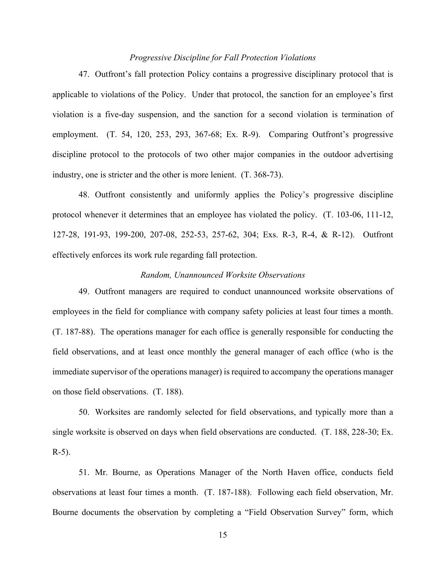### *Progressive Discipline for Fall Protection Violations*

47. Outfront's fall protection Policy contains a progressive disciplinary protocol that is applicable to violations of the Policy. Under that protocol, the sanction for an employee's first violation is a five-day suspension, and the sanction for a second violation is termination of employment. (T. 54, 120, 253, 293, 367-68; Ex. R-9). Comparing Outfront's progressive discipline protocol to the protocols of two other major companies in the outdoor advertising industry, one is stricter and the other is more lenient. (T. 368-73).

48. Outfront consistently and uniformly applies the Policy's progressive discipline protocol whenever it determines that an employee has violated the policy. (T. 103-06, 111-12, 127-28, 191-93, 199-200, 207-08, 252-53, 257-62, 304; Exs. R-3, R-4, & R-12). Outfront effectively enforces its work rule regarding fall protection.

#### *Random, Unannounced Worksite Observations*

49. Outfront managers are required to conduct unannounced worksite observations of employees in the field for compliance with company safety policies at least four times a month. (T. 187-88). The operations manager for each office is generally responsible for conducting the field observations, and at least once monthly the general manager of each office (who is the immediate supervisor of the operations manager) is required to accompany the operations manager on those field observations. (T. 188).

50. Worksites are randomly selected for field observations, and typically more than a single worksite is observed on days when field observations are conducted. (T. 188, 228-30; Ex. R-5).

51. Mr. Bourne, as Operations Manager of the North Haven office, conducts field observations at least four times a month. (T. 187-188). Following each field observation, Mr. Bourne documents the observation by completing a "Field Observation Survey" form, which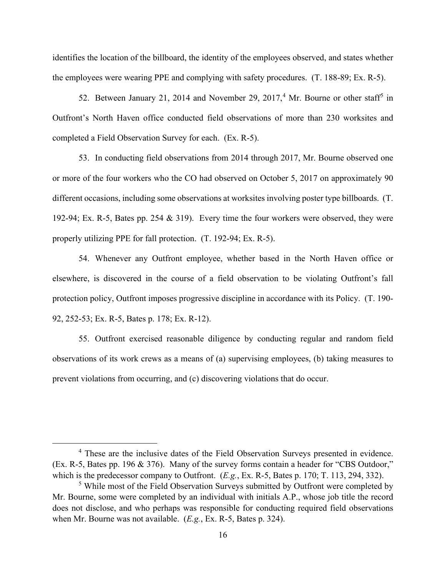identifies the location of the billboard, the identity of the employees observed, and states whether the employees were wearing PPE and complying with safety procedures. (T. 188-89; Ex. R-5).

52. Between January 21, 201[4](#page-15-0) and November 29, 2017,<sup>4</sup> Mr. Bourne or other staff<sup>[5](#page-15-1)</sup> in Outfront's North Haven office conducted field observations of more than 230 worksites and completed a Field Observation Survey for each. (Ex. R-5).

53. In conducting field observations from 2014 through 2017, Mr. Bourne observed one or more of the four workers who the CO had observed on October 5, 2017 on approximately 90 different occasions, including some observations at worksites involving poster type billboards. (T. 192-94; Ex. R-5, Bates pp. 254 & 319). Every time the four workers were observed, they were properly utilizing PPE for fall protection. (T. 192-94; Ex. R-5).

54. Whenever any Outfront employee, whether based in the North Haven office or elsewhere, is discovered in the course of a field observation to be violating Outfront's fall protection policy, Outfront imposes progressive discipline in accordance with its Policy. (T. 190- 92, 252-53; Ex. R-5, Bates p. 178; Ex. R-12).

55. Outfront exercised reasonable diligence by conducting regular and random field observations of its work crews as a means of (a) supervising employees, (b) taking measures to prevent violations from occurring, and (c) discovering violations that do occur.

<span id="page-15-0"></span><sup>&</sup>lt;sup>4</sup> These are the inclusive dates of the Field Observation Surveys presented in evidence. (Ex. R-5, Bates pp. 196 & 376). Many of the survey forms contain a header for "CBS Outdoor," which is the predecessor company to Outfront. (*E.g.*, Ex. R-5, Bates p. 170; T. 113, 294, 332).

<span id="page-15-1"></span><sup>&</sup>lt;sup>5</sup> While most of the Field Observation Surveys submitted by Outfront were completed by Mr. Bourne, some were completed by an individual with initials A.P., whose job title the record does not disclose, and who perhaps was responsible for conducting required field observations when Mr. Bourne was not available. (*E.g.*, Ex. R-5, Bates p. 324).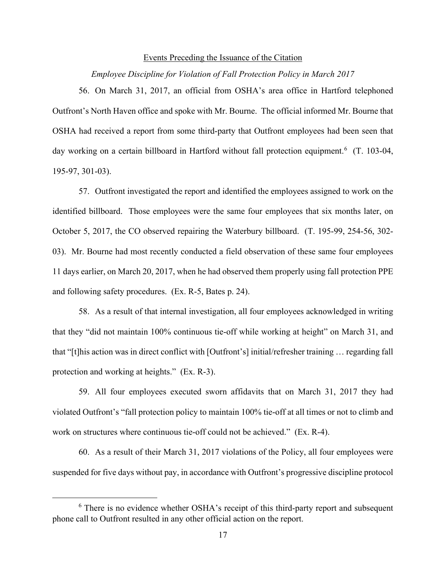#### Events Preceding the Issuance of the Citation

*Employee Discipline for Violation of Fall Protection Policy in March 2017*

56. On March 31, 2017, an official from OSHA's area office in Hartford telephoned Outfront's North Haven office and spoke with Mr. Bourne. The official informed Mr. Bourne that OSHA had received a report from some third-party that Outfront employees had been seen that day working on a certain billboard in Hartford without fall protection equipment.<sup>[6](#page-16-0)</sup> (T. 103-04, 195-97, 301-03).

57. Outfront investigated the report and identified the employees assigned to work on the identified billboard. Those employees were the same four employees that six months later, on October 5, 2017, the CO observed repairing the Waterbury billboard. (T. 195-99, 254-56, 302- 03). Mr. Bourne had most recently conducted a field observation of these same four employees 11 days earlier, on March 20, 2017, when he had observed them properly using fall protection PPE and following safety procedures. (Ex. R-5, Bates p. 24).

58. As a result of that internal investigation, all four employees acknowledged in writing that they "did not maintain 100% continuous tie-off while working at height" on March 31, and that "[t]his action was in direct conflict with [Outfront's] initial/refresher training … regarding fall protection and working at heights." (Ex. R-3).

59. All four employees executed sworn affidavits that on March 31, 2017 they had violated Outfront's "fall protection policy to maintain 100% tie-off at all times or not to climb and work on structures where continuous tie-off could not be achieved." (Ex. R-4).

60. As a result of their March 31, 2017 violations of the Policy, all four employees were suspended for five days without pay, in accordance with Outfront's progressive discipline protocol

<span id="page-16-0"></span><sup>&</sup>lt;sup>6</sup> There is no evidence whether OSHA's receipt of this third-party report and subsequent phone call to Outfront resulted in any other official action on the report.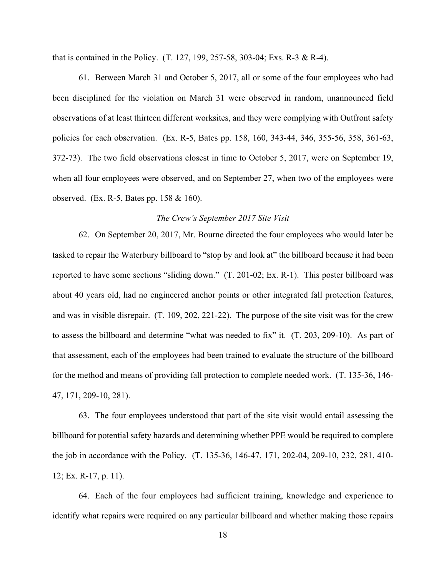that is contained in the Policy. (T. 127, 199, 257-58, 303-04; Exs. R-3 & R-4).

61. Between March 31 and October 5, 2017, all or some of the four employees who had been disciplined for the violation on March 31 were observed in random, unannounced field observations of at least thirteen different worksites, and they were complying with Outfront safety policies for each observation. (Ex. R-5, Bates pp. 158, 160, 343-44, 346, 355-56, 358, 361-63, 372-73). The two field observations closest in time to October 5, 2017, were on September 19, when all four employees were observed, and on September 27, when two of the employees were observed. (Ex. R-5, Bates pp. 158 & 160).

### *The Crew's September 2017 Site Visit*

62. On September 20, 2017, Mr. Bourne directed the four employees who would later be tasked to repair the Waterbury billboard to "stop by and look at" the billboard because it had been reported to have some sections "sliding down." (T. 201-02; Ex. R-1). This poster billboard was about 40 years old, had no engineered anchor points or other integrated fall protection features, and was in visible disrepair. (T. 109, 202, 221-22). The purpose of the site visit was for the crew to assess the billboard and determine "what was needed to fix" it. (T. 203, 209-10). As part of that assessment, each of the employees had been trained to evaluate the structure of the billboard for the method and means of providing fall protection to complete needed work. (T. 135-36, 146- 47, 171, 209-10, 281).

63. The four employees understood that part of the site visit would entail assessing the billboard for potential safety hazards and determining whether PPE would be required to complete the job in accordance with the Policy. (T. 135-36, 146-47, 171, 202-04, 209-10, 232, 281, 410- 12; Ex. R-17, p. 11).

64. Each of the four employees had sufficient training, knowledge and experience to identify what repairs were required on any particular billboard and whether making those repairs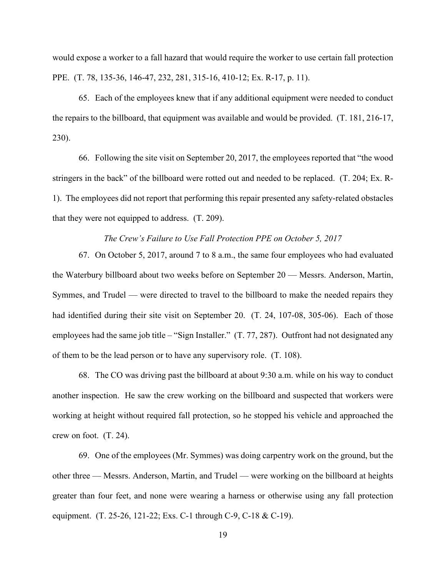would expose a worker to a fall hazard that would require the worker to use certain fall protection PPE. (T. 78, 135-36, 146-47, 232, 281, 315-16, 410-12; Ex. R-17, p. 11).

65. Each of the employees knew that if any additional equipment were needed to conduct the repairs to the billboard, that equipment was available and would be provided. (T. 181, 216-17, 230).

66. Following the site visit on September 20, 2017, the employees reported that "the wood stringers in the back" of the billboard were rotted out and needed to be replaced. (T. 204; Ex. R-1). The employees did not report that performing this repair presented any safety-related obstacles that they were not equipped to address. (T. 209).

### *The Crew's Failure to Use Fall Protection PPE on October 5, 2017*

67. On October 5, 2017, around 7 to 8 a.m., the same four employees who had evaluated the Waterbury billboard about two weeks before on September 20 — Messrs. Anderson, Martin, Symmes, and Trudel — were directed to travel to the billboard to make the needed repairs they had identified during their site visit on September 20. (T. 24, 107-08, 305-06). Each of those employees had the same job title – "Sign Installer." (T. 77, 287). Outfront had not designated any of them to be the lead person or to have any supervisory role. (T. 108).

68. The CO was driving past the billboard at about 9:30 a.m. while on his way to conduct another inspection. He saw the crew working on the billboard and suspected that workers were working at height without required fall protection, so he stopped his vehicle and approached the crew on foot. (T. 24).

69. One of the employees (Mr. Symmes) was doing carpentry work on the ground, but the other three — Messrs. Anderson, Martin, and Trudel — were working on the billboard at heights greater than four feet, and none were wearing a harness or otherwise using any fall protection equipment. (T. 25-26, 121-22; Exs. C-1 through C-9, C-18 & C-19).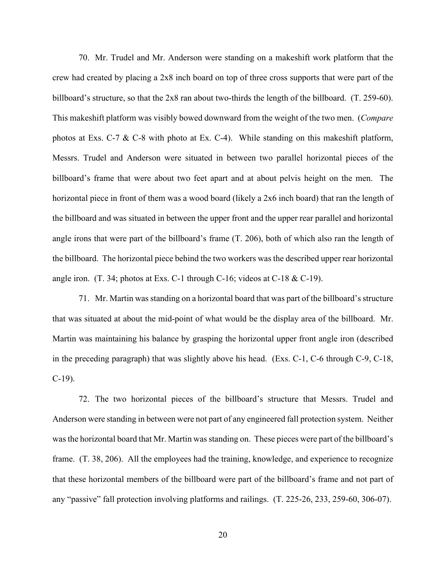70. Mr. Trudel and Mr. Anderson were standing on a makeshift work platform that the crew had created by placing a 2x8 inch board on top of three cross supports that were part of the billboard's structure, so that the 2x8 ran about two-thirds the length of the billboard. (T. 259-60). This makeshift platform was visibly bowed downward from the weight of the two men. (*Compare* photos at Exs. C-7 & C-8 with photo at Ex. C-4). While standing on this makeshift platform, Messrs. Trudel and Anderson were situated in between two parallel horizontal pieces of the billboard's frame that were about two feet apart and at about pelvis height on the men. The horizontal piece in front of them was a wood board (likely a 2x6 inch board) that ran the length of the billboard and was situated in between the upper front and the upper rear parallel and horizontal angle irons that were part of the billboard's frame (T. 206), both of which also ran the length of the billboard. The horizontal piece behind the two workers was the described upper rear horizontal angle iron. (T. 34; photos at Exs. C-1 through C-16; videos at C-18 & C-19).

71. Mr. Martin was standing on a horizontal board that was part of the billboard's structure that was situated at about the mid-point of what would be the display area of the billboard. Mr. Martin was maintaining his balance by grasping the horizontal upper front angle iron (described in the preceding paragraph) that was slightly above his head. (Exs. C-1, C-6 through C-9, C-18, C-19).

72. The two horizontal pieces of the billboard's structure that Messrs. Trudel and Anderson were standing in between were not part of any engineered fall protection system. Neither was the horizontal board that Mr. Martin was standing on. These pieces were part of the billboard's frame. (T. 38, 206). All the employees had the training, knowledge, and experience to recognize that these horizontal members of the billboard were part of the billboard's frame and not part of any "passive" fall protection involving platforms and railings. (T. 225-26, 233, 259-60, 306-07).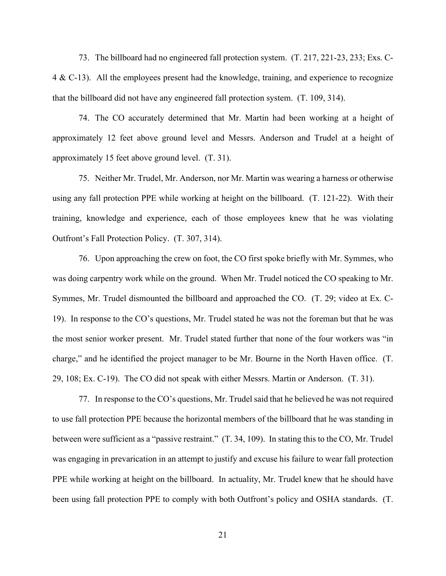73. The billboard had no engineered fall protection system. (T. 217, 221-23, 233; Exs. C-4 & C-13). All the employees present had the knowledge, training, and experience to recognize that the billboard did not have any engineered fall protection system. (T. 109, 314).

74. The CO accurately determined that Mr. Martin had been working at a height of approximately 12 feet above ground level and Messrs. Anderson and Trudel at a height of approximately 15 feet above ground level. (T. 31).

75. Neither Mr. Trudel, Mr. Anderson, nor Mr. Martin was wearing a harness or otherwise using any fall protection PPE while working at height on the billboard. (T. 121-22). With their training, knowledge and experience, each of those employees knew that he was violating Outfront's Fall Protection Policy. (T. 307, 314).

76. Upon approaching the crew on foot, the CO first spoke briefly with Mr. Symmes, who was doing carpentry work while on the ground. When Mr. Trudel noticed the CO speaking to Mr. Symmes, Mr. Trudel dismounted the billboard and approached the CO. (T. 29; video at Ex. C-19). In response to the CO's questions, Mr. Trudel stated he was not the foreman but that he was the most senior worker present. Mr. Trudel stated further that none of the four workers was "in charge," and he identified the project manager to be Mr. Bourne in the North Haven office. (T. 29, 108; Ex. C-19). The CO did not speak with either Messrs. Martin or Anderson. (T. 31).

77. In response to the CO's questions, Mr. Trudel said that he believed he was not required to use fall protection PPE because the horizontal members of the billboard that he was standing in between were sufficient as a "passive restraint." (T. 34, 109). In stating this to the CO, Mr. Trudel was engaging in prevarication in an attempt to justify and excuse his failure to wear fall protection PPE while working at height on the billboard. In actuality, Mr. Trudel knew that he should have been using fall protection PPE to comply with both Outfront's policy and OSHA standards. (T.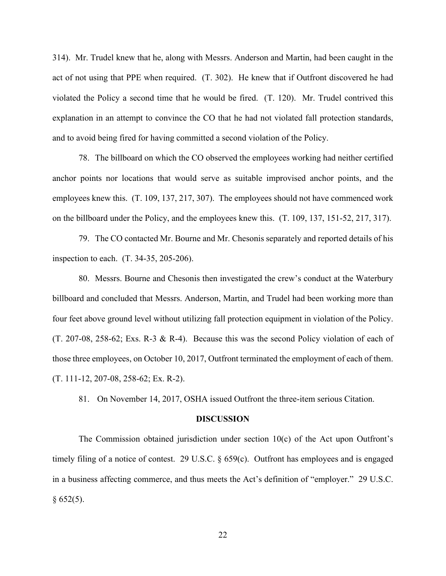314). Mr. Trudel knew that he, along with Messrs. Anderson and Martin, had been caught in the act of not using that PPE when required. (T. 302). He knew that if Outfront discovered he had violated the Policy a second time that he would be fired. (T. 120). Mr. Trudel contrived this explanation in an attempt to convince the CO that he had not violated fall protection standards, and to avoid being fired for having committed a second violation of the Policy.

78. The billboard on which the CO observed the employees working had neither certified anchor points nor locations that would serve as suitable improvised anchor points, and the employees knew this. (T. 109, 137, 217, 307). The employees should not have commenced work on the billboard under the Policy, and the employees knew this. (T. 109, 137, 151-52, 217, 317).

79. The CO contacted Mr. Bourne and Mr. Chesonis separately and reported details of his inspection to each. (T. 34-35, 205-206).

80. Messrs. Bourne and Chesonis then investigated the crew's conduct at the Waterbury billboard and concluded that Messrs. Anderson, Martin, and Trudel had been working more than four feet above ground level without utilizing fall protection equipment in violation of the Policy. (T. 207-08, 258-62; Exs. R-3 & R-4). Because this was the second Policy violation of each of those three employees, on October 10, 2017, Outfront terminated the employment of each of them. (T. 111-12, 207-08, 258-62; Ex. R-2).

81. On November 14, 2017, OSHA issued Outfront the three-item serious Citation.

#### **DISCUSSION**

The Commission obtained jurisdiction under section 10(c) of the Act upon Outfront's timely filing of a notice of contest. 29 U.S.C. § 659(c). Outfront has employees and is engaged in a business affecting commerce, and thus meets the Act's definition of "employer." 29 U.S.C.  $§ 652(5).$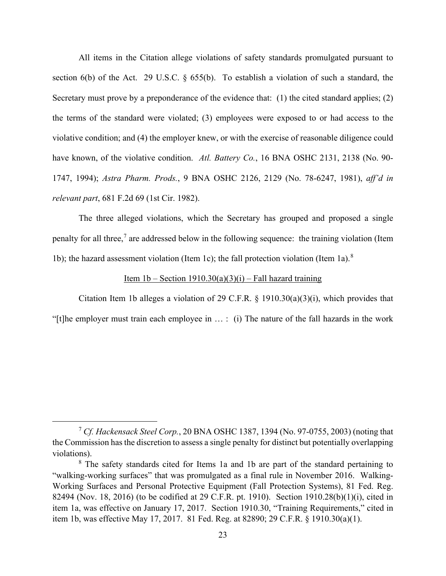All items in the Citation allege violations of safety standards promulgated pursuant to section 6(b) of the Act. 29 U.S.C. § 655(b). To establish a violation of such a standard, the Secretary must prove by a preponderance of the evidence that: (1) the cited standard applies; (2) the terms of the standard were violated; (3) employees were exposed to or had access to the violative condition; and (4) the employer knew, or with the exercise of reasonable diligence could have known, of the violative condition. *Atl. Battery Co.*, 16 BNA OSHC 2131, 2138 (No. 90- 1747, 1994); *Astra Pharm. Prods.*, 9 BNA OSHC 2126, 2129 (No. 78-6247, 1981), *aff'd in relevant part*, 681 F.2d 69 (1st Cir. 1982).

The three alleged violations, which the Secretary has grouped and proposed a single penalty for all three,<sup>[7](#page-22-0)</sup> are addressed below in the following sequence: the training violation (Item 1b); the hazard assessment violation (Item 1c); the fall protection violation (Item 1a).<sup>[8](#page-22-1)</sup>

### Item 1b – Section 1910.30(a)(3)(i) – Fall hazard training

Citation Item 1b alleges a violation of 29 C.F.R.  $\S$  1910.30(a)(3)(i), which provides that "[t]he employer must train each employee in … : (i) The nature of the fall hazards in the work

<span id="page-22-0"></span><sup>7</sup> *Cf. Hackensack Steel Corp.*, 20 BNA OSHC 1387, 1394 (No. 97-0755, 2003) (noting that the Commission has the discretion to assess a single penalty for distinct but potentially overlapping violations).

<span id="page-22-1"></span><sup>&</sup>lt;sup>8</sup> The safety standards cited for Items 1a and 1b are part of the standard pertaining to "walking-working surfaces" that was promulgated as a final rule in November 2016. Walking-Working Surfaces and Personal Protective Equipment (Fall Protection Systems), 81 Fed. Reg. 82494 (Nov. 18, 2016) (to be codified at 29 C.F.R. pt. 1910). Section 1910.28(b)(1)(i), cited in item 1a, was effective on January 17, 2017. Section 1910.30, "Training Requirements," cited in item 1b, was effective May 17, 2017. 81 Fed. Reg. at 82890; 29 C.F.R. § 1910.30(a)(1).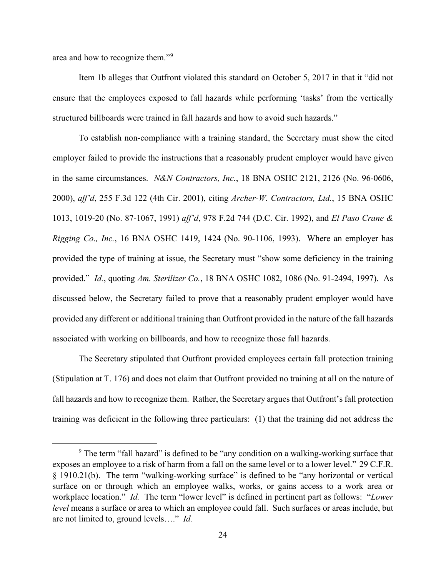area and how to recognize them."[9](#page-23-0)

Item 1b alleges that Outfront violated this standard on October 5, 2017 in that it "did not ensure that the employees exposed to fall hazards while performing 'tasks' from the vertically structured billboards were trained in fall hazards and how to avoid such hazards."

To establish non-compliance with a training standard, the Secretary must show the cited employer failed to provide the instructions that a reasonably prudent employer would have given in the same circumstances. *N&N Contractors, Inc.*, 18 BNA OSHC 2121, 2126 (No. 96-0606, 2000), *aff'd*, 255 F.3d 122 (4th Cir. 2001), citing *Archer-W. Contractors, Ltd.*, 15 BNA OSHC 1013, 1019-20 (No. 87-1067, 1991) *aff'd*, 978 F.2d 744 (D.C. Cir. 1992), and *El Paso Crane & Rigging Co., Inc.*, 16 BNA OSHC 1419, 1424 (No. 90-1106, 1993). Where an employer has provided the type of training at issue, the Secretary must "show some deficiency in the training provided." *Id.*, quoting *Am. Sterilizer Co.*, 18 BNA OSHC 1082, 1086 (No. 91-2494, 1997). As discussed below, the Secretary failed to prove that a reasonably prudent employer would have provided any different or additional training than Outfront provided in the nature of the fall hazards associated with working on billboards, and how to recognize those fall hazards.

The Secretary stipulated that Outfront provided employees certain fall protection training (Stipulation at T. 176) and does not claim that Outfront provided no training at all on the nature of fall hazards and how to recognize them. Rather, the Secretary argues that Outfront's fall protection training was deficient in the following three particulars: (1) that the training did not address the

<span id="page-23-0"></span> $9$  The term "fall hazard" is defined to be "any condition on a walking-working surface that exposes an employee to a risk of harm from a fall on the same level or to a [lower level.](https://www.law.cornell.edu/cfr/text/29/1910.21)" 29 C.F.R. § 1910.21(b). The term "walking-working surface" is defined to be "any horizontal or vertical surface on or through which an employee walks, works, or gains access to a work area or workplace location." *Id.* The term "lower level" is defined in pertinent part as follows: "*Lower level* means a surface or area to which an employee could fall. Such surfaces or areas include, but are not limited to, ground levels…." *Id.*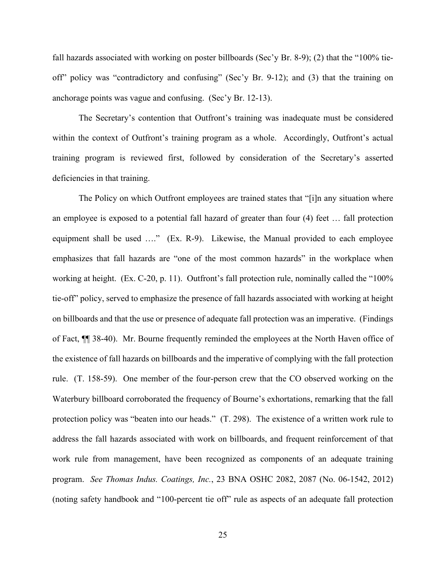fall hazards associated with working on poster billboards (Sec'y Br. 8-9); (2) that the "100% tieoff" policy was "contradictory and confusing" (Sec'y Br. 9-12); and (3) that the training on anchorage points was vague and confusing. (Sec'y Br. 12-13).

The Secretary's contention that Outfront's training was inadequate must be considered within the context of Outfront's training program as a whole. Accordingly, Outfront's actual training program is reviewed first, followed by consideration of the Secretary's asserted deficiencies in that training.

The Policy on which Outfront employees are trained states that "[i]n any situation where an employee is exposed to a potential fall hazard of greater than four (4) feet … fall protection equipment shall be used …." (Ex. R-9). Likewise, the Manual provided to each employee emphasizes that fall hazards are "one of the most common hazards" in the workplace when working at height. (Ex. C-20, p. 11). Outfront's fall protection rule, nominally called the "100% tie-off" policy, served to emphasize the presence of fall hazards associated with working at height on billboards and that the use or presence of adequate fall protection was an imperative. (Findings of Fact, ¶¶ 38-40). Mr. Bourne frequently reminded the employees at the North Haven office of the existence of fall hazards on billboards and the imperative of complying with the fall protection rule. (T. 158-59). One member of the four-person crew that the CO observed working on the Waterbury billboard corroborated the frequency of Bourne's exhortations, remarking that the fall protection policy was "beaten into our heads." (T. 298). The existence of a written work rule to address the fall hazards associated with work on billboards, and frequent reinforcement of that work rule from management, have been recognized as components of an adequate training program. *See Thomas Indus. Coatings, Inc.*, 23 BNA OSHC 2082, 2087 (No. 06-1542, 2012) (noting safety handbook and "100-percent tie off" rule as aspects of an adequate fall protection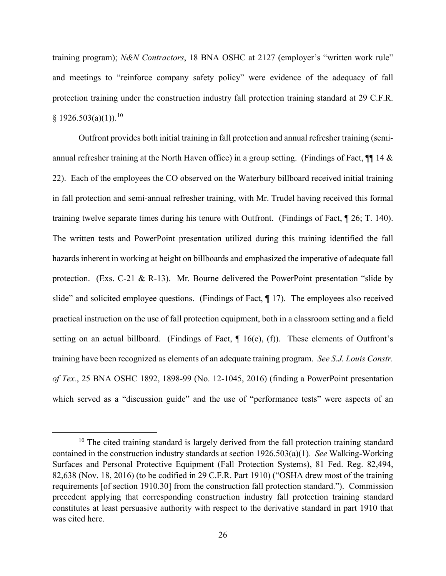training program); *N&N Contractors*, 18 BNA OSHC at 2127 (employer's "written work rule" and meetings to "reinforce company safety policy" were evidence of the adequacy of fall protection training under the construction industry fall protection training standard at 29 C.F.R.  $§ 1926.503(a)(1)).$ <sup>[10](#page-25-0)</sup>

Outfront provides both initial training in fall protection and annual refresher training (semiannual refresher training at the North Haven office) in a group setting. (Findings of Fact,  $\P$  14 & 22). Each of the employees the CO observed on the Waterbury billboard received initial training in fall protection and semi-annual refresher training, with Mr. Trudel having received this formal training twelve separate times during his tenure with Outfront. (Findings of Fact, ¶ 26; T. 140). The written tests and PowerPoint presentation utilized during this training identified the fall hazards inherent in working at height on billboards and emphasized the imperative of adequate fall protection. (Exs. C-21 & R-13). Mr. Bourne delivered the PowerPoint presentation "slide by slide" and solicited employee questions. (Findings of Fact, ¶ 17). The employees also received practical instruction on the use of fall protection equipment, both in a classroom setting and a field setting on an actual billboard. (Findings of Fact,  $\P$  16(e), (f)). These elements of Outfront's training have been recognized as elements of an adequate training program. *See S.J. Louis Constr. of Tex.*, 25 BNA OSHC 1892, 1898-99 (No. 12-1045, 2016) (finding a PowerPoint presentation which served as a "discussion guide" and the use of "performance tests" were aspects of an

<span id="page-25-0"></span><sup>&</sup>lt;sup>10</sup> The cited training standard is largely derived from the fall protection training standard contained in the construction industry standards at section 1926.503(a)(1). *See* Walking-Working Surfaces and Personal Protective Equipment (Fall Protection Systems), 81 Fed. Reg. 82,494, 82,638 (Nov. 18, 2016) (to be codified in 29 C.F.R. Part 1910) ("OSHA drew most of the training requirements [of section 1910.30] from the construction fall protection standard."). Commission precedent applying that corresponding construction industry fall protection training standard constitutes at least persuasive authority with respect to the derivative standard in part 1910 that was cited here.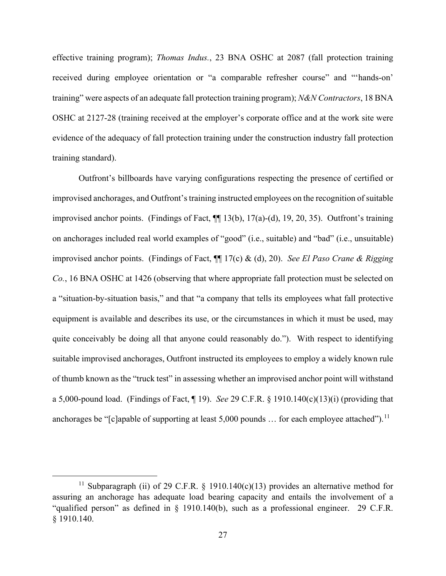effective training program); *Thomas Indus.*, 23 BNA OSHC at 2087 (fall protection training received during employee orientation or "a comparable refresher course" and "'hands-on' training" were aspects of an adequate fall protection training program); *N&N Contractors*, 18 BNA OSHC at 2127-28 (training received at the employer's corporate office and at the work site were evidence of the adequacy of fall protection training under the construction industry fall protection training standard).

Outfront's billboards have varying configurations respecting the presence of certified or improvised anchorages, and Outfront's training instructed employees on the recognition of suitable improvised anchor points. (Findings of Fact, ¶¶ 13(b), 17(a)-(d), 19, 20, 35). Outfront's training on anchorages included real world examples of "good" (i.e., suitable) and "bad" (i.e., unsuitable) improvised anchor points. (Findings of Fact, ¶¶ 17(c) & (d), 20). *See El Paso Crane & Rigging Co.*, 16 BNA OSHC at 1426 (observing that where appropriate fall protection must be selected on a "situation-by-situation basis," and that "a company that tells its employees what fall protective equipment is available and describes its use, or the circumstances in which it must be used, may quite conceivably be doing all that anyone could reasonably do."). With respect to identifying suitable improvised anchorages, Outfront instructed its employees to employ a widely known rule of thumb known as the "truck test" in assessing whether an improvised anchor point will withstand a 5,000-pound load. (Findings of Fact, ¶ 19). *See* 29 C.F.R. § 1910.140(c)(13)(i) (providing that anchorages be "[c]apable of supporting at least  $5,000$  pounds ... for each employee attached").<sup>[11](#page-26-0)</sup>

<span id="page-26-0"></span><sup>&</sup>lt;sup>11</sup> Subparagraph (ii) of 29 C.F.R. § 1910.140(c)(13) provides an alternative method for assuring an anchorage has adequate load bearing capacity and entails the involvement of a "qualified person" as defined in § 1910.140(b), such as a professional engineer. 29 C.F.R. § 1910.140.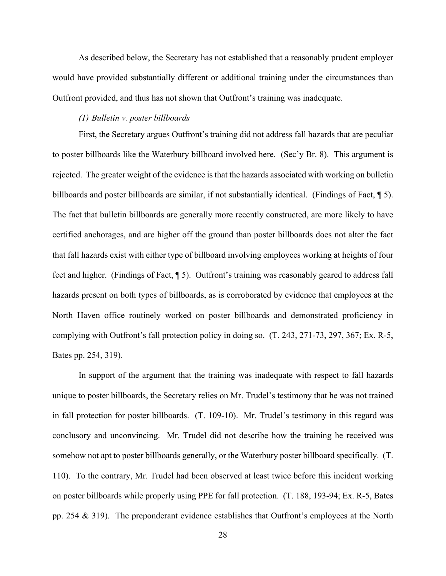As described below, the Secretary has not established that a reasonably prudent employer would have provided substantially different or additional training under the circumstances than Outfront provided, and thus has not shown that Outfront's training was inadequate.

### *(1) Bulletin v. poster billboards*

First, the Secretary argues Outfront's training did not address fall hazards that are peculiar to poster billboards like the Waterbury billboard involved here. (Sec'y Br. 8). This argument is rejected. The greater weight of the evidence is that the hazards associated with working on bulletin billboards and poster billboards are similar, if not substantially identical. (Findings of Fact, ¶ 5). The fact that bulletin billboards are generally more recently constructed, are more likely to have certified anchorages, and are higher off the ground than poster billboards does not alter the fact that fall hazards exist with either type of billboard involving employees working at heights of four feet and higher. (Findings of Fact, ¶ 5). Outfront's training was reasonably geared to address fall hazards present on both types of billboards, as is corroborated by evidence that employees at the North Haven office routinely worked on poster billboards and demonstrated proficiency in complying with Outfront's fall protection policy in doing so. (T. 243, 271-73, 297, 367; Ex. R-5, Bates pp. 254, 319).

In support of the argument that the training was inadequate with respect to fall hazards unique to poster billboards, the Secretary relies on Mr. Trudel's testimony that he was not trained in fall protection for poster billboards. (T. 109-10). Mr. Trudel's testimony in this regard was conclusory and unconvincing. Mr. Trudel did not describe how the training he received was somehow not apt to poster billboards generally, or the Waterbury poster billboard specifically. (T. 110). To the contrary, Mr. Trudel had been observed at least twice before this incident working on poster billboards while properly using PPE for fall protection. (T. 188, 193-94; Ex. R-5, Bates pp. 254 & 319). The preponderant evidence establishes that Outfront's employees at the North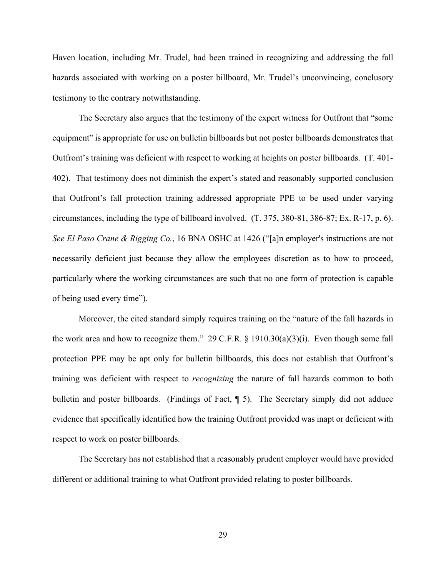Haven location, including Mr. Trudel, had been trained in recognizing and addressing the fall hazards associated with working on a poster billboard, Mr. Trudel's unconvincing, conclusory testimony to the contrary notwithstanding.

The Secretary also argues that the testimony of the expert witness for Outfront that "some equipment" is appropriate for use on bulletin billboards but not poster billboards demonstrates that Outfront's training was deficient with respect to working at heights on poster billboards. (T. 401- 402). That testimony does not diminish the expert's stated and reasonably supported conclusion that Outfront's fall protection training addressed appropriate PPE to be used under varying circumstances, including the type of billboard involved. (T. 375, 380-81, 386-87; Ex. R-17, p. 6). *See El Paso Crane & Rigging Co.*, 16 BNA OSHC at 1426 ("[a]n employer's instructions are not necessarily deficient just because they allow the employees discretion as to how to proceed, particularly where the working circumstances are such that no one form of protection is capable of being used every time").

Moreover, the cited standard simply requires training on the "nature of the fall hazards in the work area and how to recognize them." 29 C.F.R.  $\S$  1910.30(a)(3)(i). Even though some fall protection PPE may be apt only for bulletin billboards, this does not establish that Outfront's training was deficient with respect to *recognizing* the nature of fall hazards common to both bulletin and poster billboards. (Findings of Fact,  $\P$  5). The Secretary simply did not adduce evidence that specifically identified how the training Outfront provided was inapt or deficient with respect to work on poster billboards.

The Secretary has not established that a reasonably prudent employer would have provided different or additional training to what Outfront provided relating to poster billboards.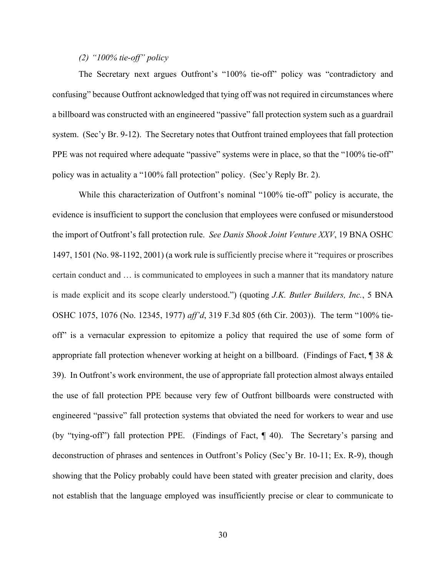## *(2) "100% tie-off" policy*

The Secretary next argues Outfront's "100% tie-off" policy was "contradictory and confusing" because Outfront acknowledged that tying off was not required in circumstances where a billboard was constructed with an engineered "passive" fall protection system such as a guardrail system. (Sec'y Br. 9-12). The Secretary notes that Outfront trained employees that fall protection PPE was not required where adequate "passive" systems were in place, so that the "100% tie-off" policy was in actuality a "100% fall protection" policy. (Sec'y Reply Br. 2).

While this characterization of Outfront's nominal "100% tie-off" policy is accurate, the evidence is insufficient to support the conclusion that employees were confused or misunderstood the import of Outfront's fall protection rule. *See Danis Shook Joint Venture XXV*, 19 BNA OSHC 1497, 1501 (No. 98-1192, 2001) (a work rule is sufficiently precise where it "requires or proscribes certain conduct and … is communicated to employees in such a manner that its mandatory nature is made explicit and its scope clearly understood.") (quoting *J.K. Butler Builders, Inc.*, 5 BNA OSHC 1075, 1076 (No. 12345, 1977) *aff'd*, 319 F.3d 805 (6th Cir. 2003)). The term "100% tieoff" is a vernacular expression to epitomize a policy that required the use of some form of appropriate fall protection whenever working at height on a billboard. (Findings of Fact,  $\parallel$  38  $\&$ 39). In Outfront's work environment, the use of appropriate fall protection almost always entailed the use of fall protection PPE because very few of Outfront billboards were constructed with engineered "passive" fall protection systems that obviated the need for workers to wear and use (by "tying-off") fall protection PPE. (Findings of Fact, ¶ 40). The Secretary's parsing and deconstruction of phrases and sentences in Outfront's Policy (Sec'y Br. 10-11; Ex. R-9), though showing that the Policy probably could have been stated with greater precision and clarity, does not establish that the language employed was insufficiently precise or clear to communicate to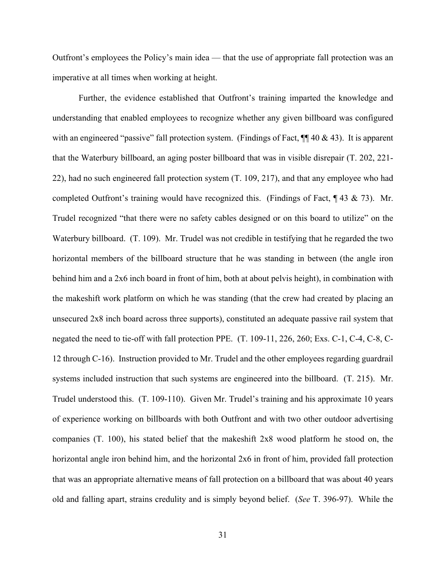Outfront's employees the Policy's main idea — that the use of appropriate fall protection was an imperative at all times when working at height.

Further, the evidence established that Outfront's training imparted the knowledge and understanding that enabled employees to recognize whether any given billboard was configured with an engineered "passive" fall protection system. (Findings of Fact,  $\P$  40 & 43). It is apparent that the Waterbury billboard, an aging poster billboard that was in visible disrepair (T. 202, 221- 22), had no such engineered fall protection system (T. 109, 217), and that any employee who had completed Outfront's training would have recognized this. (Findings of Fact,  $\parallel$  43 & 73). Mr. Trudel recognized "that there were no safety cables designed or on this board to utilize" on the Waterbury billboard. (T. 109). Mr. Trudel was not credible in testifying that he regarded the two horizontal members of the billboard structure that he was standing in between (the angle iron behind him and a 2x6 inch board in front of him, both at about pelvis height), in combination with the makeshift work platform on which he was standing (that the crew had created by placing an unsecured 2x8 inch board across three supports), constituted an adequate passive rail system that negated the need to tie-off with fall protection PPE. (T. 109-11, 226, 260; Exs. C-1, C-4, C-8, C-12 through C-16). Instruction provided to Mr. Trudel and the other employees regarding guardrail systems included instruction that such systems are engineered into the billboard. (T. 215). Mr. Trudel understood this. (T. 109-110). Given Mr. Trudel's training and his approximate 10 years of experience working on billboards with both Outfront and with two other outdoor advertising companies (T. 100), his stated belief that the makeshift 2x8 wood platform he stood on, the horizontal angle iron behind him, and the horizontal 2x6 in front of him, provided fall protection that was an appropriate alternative means of fall protection on a billboard that was about 40 years old and falling apart, strains credulity and is simply beyond belief. (*See* T. 396-97). While the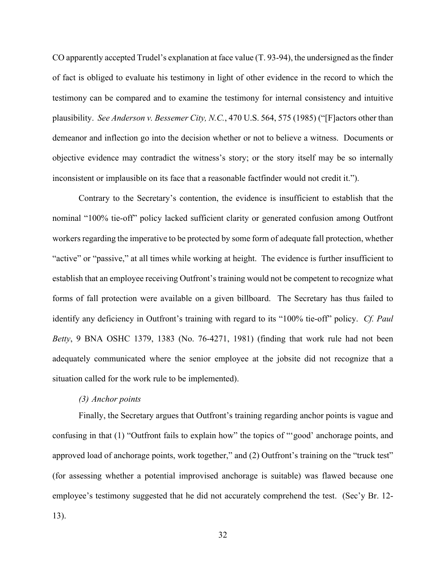CO apparently accepted Trudel's explanation at face value (T. 93-94), the undersigned as the finder of fact is obliged to evaluate his testimony in light of other evidence in the record to which the testimony can be compared and to examine the testimony for internal consistency and intuitive plausibility. *See Anderson v. Bessemer City, N.C.*, 470 U.S. 564, 575 (1985) ("[F]actors other than demeanor and inflection go into the decision whether or not to believe a witness. Documents or objective evidence may contradict the witness's story; or the story itself may be so internally inconsistent or implausible on its face that a reasonable factfinder would not credit it.").

Contrary to the Secretary's contention, the evidence is insufficient to establish that the nominal "100% tie-off" policy lacked sufficient clarity or generated confusion among Outfront workers regarding the imperative to be protected by some form of adequate fall protection, whether "active" or "passive," at all times while working at height. The evidence is further insufficient to establish that an employee receiving Outfront's training would not be competent to recognize what forms of fall protection were available on a given billboard. The Secretary has thus failed to identify any deficiency in Outfront's training with regard to its "100% tie-off" policy. *Cf. Paul Betty*, 9 BNA OSHC 1379, 1383 (No. 76-4271, 1981) (finding that work rule had not been adequately communicated where the senior employee at the jobsite did not recognize that a situation called for the work rule to be implemented).

## *(3) Anchor points*

Finally, the Secretary argues that Outfront's training regarding anchor points is vague and confusing in that (1) "Outfront fails to explain how" the topics of "'good' anchorage points, and approved load of anchorage points, work together," and (2) Outfront's training on the "truck test" (for assessing whether a potential improvised anchorage is suitable) was flawed because one employee's testimony suggested that he did not accurately comprehend the test. (Sec'y Br. 12- 13).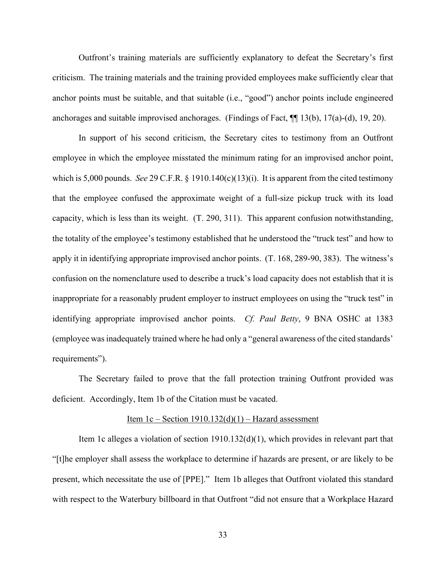Outfront's training materials are sufficiently explanatory to defeat the Secretary's first criticism. The training materials and the training provided employees make sufficiently clear that anchor points must be suitable, and that suitable (i.e., "good") anchor points include engineered anchorages and suitable improvised anchorages. (Findings of Fact, ¶¶ 13(b), 17(a)-(d), 19, 20).

In support of his second criticism, the Secretary cites to testimony from an Outfront employee in which the employee misstated the minimum rating for an improvised anchor point, which is 5,000 pounds. *See* 29 C.F.R.  $\S$  1910.140(c)(13)(i). It is apparent from the cited testimony that the employee confused the approximate weight of a full-size pickup truck with its load capacity, which is less than its weight. (T. 290, 311). This apparent confusion notwithstanding, the totality of the employee's testimony established that he understood the "truck test" and how to apply it in identifying appropriate improvised anchor points. (T. 168, 289-90, 383). The witness's confusion on the nomenclature used to describe a truck's load capacity does not establish that it is inappropriate for a reasonably prudent employer to instruct employees on using the "truck test" in identifying appropriate improvised anchor points. *Cf. Paul Betty*, 9 BNA OSHC at 1383 (employee was inadequately trained where he had only a "general awareness of the cited standards' requirements").

The Secretary failed to prove that the fall protection training Outfront provided was deficient. Accordingly, Item 1b of the Citation must be vacated.

#### Item 1c – Section  $1910.132(d)(1)$  – Hazard assessment

Item 1c alleges a violation of section 1910.132(d)(1), which provides in relevant part that "[t]he employer shall assess the workplace to determine if hazards are present, or are likely to be present, which necessitate the use of [PPE]." Item 1b alleges that Outfront violated this standard with respect to the Waterbury billboard in that Outfront "did not ensure that a Workplace Hazard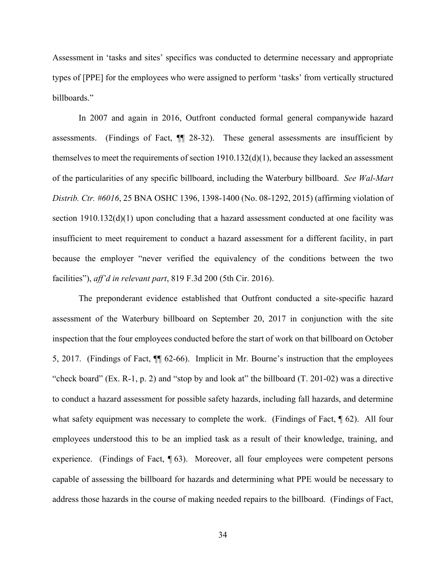Assessment in 'tasks and sites' specifics was conducted to determine necessary and appropriate types of [PPE] for the employees who were assigned to perform 'tasks' from vertically structured billboards."

In 2007 and again in 2016, Outfront conducted formal general companywide hazard assessments. (Findings of Fact,  $\P$  28-32). These general assessments are insufficient by themselves to meet the requirements of section 1910.132(d)(1), because they lacked an assessment of the particularities of any specific billboard, including the Waterbury billboard. *See Wal-Mart Distrib. Ctr. #6016*, 25 BNA OSHC 1396, 1398-1400 (No. 08-1292, 2015) (affirming violation of section 1910.132(d)(1) upon concluding that a hazard assessment conducted at one facility was insufficient to meet requirement to conduct a hazard assessment for a different facility, in part because the employer "never verified the equivalency of the conditions between the two facilities"), *aff'd in relevant part*, 819 F.3d 200 (5th Cir. 2016).

The preponderant evidence established that Outfront conducted a site-specific hazard assessment of the Waterbury billboard on September 20, 2017 in conjunction with the site inspection that the four employees conducted before the start of work on that billboard on October 5, 2017. (Findings of Fact, ¶¶ 62-66). Implicit in Mr. Bourne's instruction that the employees "check board" (Ex. R-1, p. 2) and "stop by and look at" the billboard (T. 201-02) was a directive to conduct a hazard assessment for possible safety hazards, including fall hazards, and determine what safety equipment was necessary to complete the work. (Findings of Fact,  $\oint$  62). All four employees understood this to be an implied task as a result of their knowledge, training, and experience. (Findings of Fact, 1[63). Moreover, all four employees were competent persons capable of assessing the billboard for hazards and determining what PPE would be necessary to address those hazards in the course of making needed repairs to the billboard. (Findings of Fact,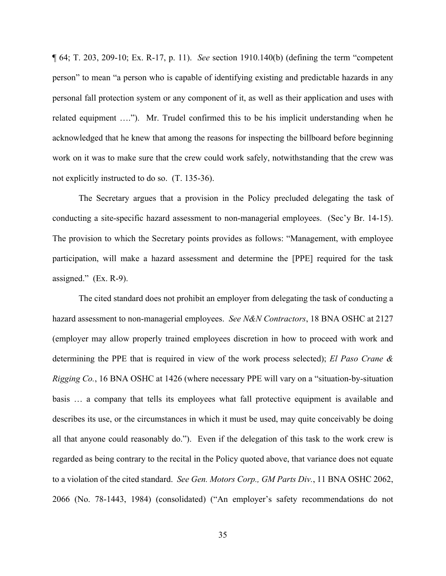¶ 64; T. 203, 209-10; Ex. R-17, p. 11). *See* section 1910.140(b) (defining the term "competent person" to mean "a person who is capable of identifying existing and predictable hazards in any personal fall protection system or any component of it, as well as their application and uses with related equipment …."). Mr. Trudel confirmed this to be his implicit understanding when he acknowledged that he knew that among the reasons for inspecting the billboard before beginning work on it was to make sure that the crew could work safely, notwithstanding that the crew was not explicitly instructed to do so. (T. 135-36).

The Secretary argues that a provision in the Policy precluded delegating the task of conducting a site-specific hazard assessment to non-managerial employees. (Sec'y Br. 14-15). The provision to which the Secretary points provides as follows: "Management, with employee participation, will make a hazard assessment and determine the [PPE] required for the task assigned." (Ex. R-9).

The cited standard does not prohibit an employer from delegating the task of conducting a hazard assessment to non-managerial employees. *See N&N Contractors*, 18 BNA OSHC at 2127 (employer may allow properly trained employees discretion in how to proceed with work and determining the PPE that is required in view of the work process selected); *El Paso Crane & Rigging Co.*, 16 BNA OSHC at 1426 (where necessary PPE will vary on a "situation-by-situation basis … a company that tells its employees what fall protective equipment is available and describes its use, or the circumstances in which it must be used, may quite conceivably be doing all that anyone could reasonably do.").Even if the delegation of this task to the work crew is regarded as being contrary to the recital in the Policy quoted above, that variance does not equate to a violation of the cited standard. *See Gen. Motors Corp., GM Parts Div.*, 11 BNA OSHC 2062, 2066 (No. 78-1443, 1984) (consolidated) ("An employer's safety recommendations do not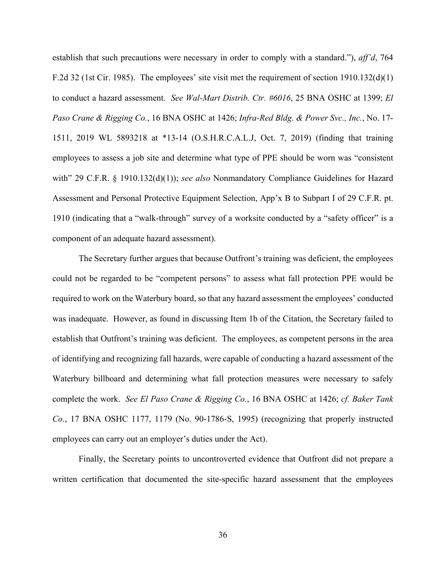establish that such precautions were necessary in order to comply with a standard."), *aff'd*, 764 F.2d 32 (1st Cir. 1985). The employees' site visit met the requirement of section 1910.132(d)(1) to conduct a hazard assessment. *See Wal-Mart Distrib. Ctr. #6016*, 25 BNA OSHC at 1399; *El Paso Crane & Rigging Co.*, 16 BNA OSHC at 1426; *Infra-Red Bldg. & Power Svc., Inc.*, No. 17- 1511, 2019 WL 5893218 at \*13-14 (O.S.H.R.C.A.L.J, Oct. 7, 2019) (finding that training employees to assess a job site and determine what type of PPE should be worn was "consistent with" 29 C.F.R. § 1910.132(d)(1)); *see also* Nonmandatory Compliance Guidelines for Hazard Assessment and Personal Protective Equipment Selection, App'x B to Subpart I of 29 C.F.R. pt. 1910 (indicating that a "walk-through" survey of a worksite conducted by a "safety officer" is a component of an adequate hazard assessment).

The Secretary further argues that because Outfront's training was deficient, the employees could not be regarded to be "competent persons" to assess what fall protection PPE would be required to work on the Waterbury board, so that any hazard assessment the employees' conducted was inadequate. However, as found in discussing Item 1b of the Citation, the Secretary failed to establish that Outfront's training was deficient. The employees, as competent persons in the area of identifying and recognizing fall hazards, were capable of conducting a hazard assessment of the Waterbury billboard and determining what fall protection measures were necessary to safely complete the work. *See El Paso Crane & Rigging Co.*, 16 BNA OSHC at 1426; *cf. Baker Tank Co.*, 17 BNA OSHC 1177, 1179 (No. 90-1786-S, 1995) (recognizing that properly instructed employees can carry out an employer's duties under the Act).

Finally, the Secretary points to uncontroverted evidence that Outfront did not prepare a written certification that documented the site-specific hazard assessment that the employees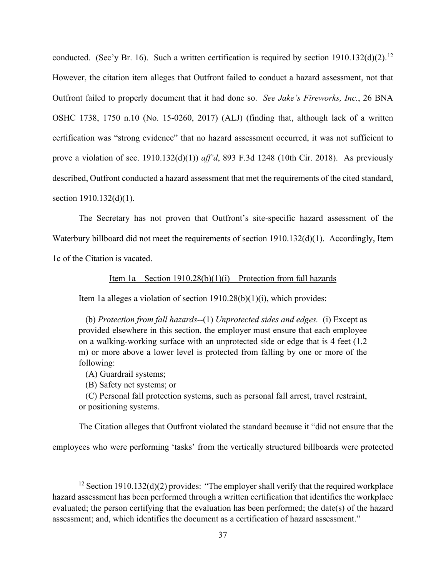conducted. (Sec'y Br. 16). Such a written certification is required by section  $1910.132(d)(2)$ .<sup>[12](#page-36-0)</sup> However, the citation item alleges that Outfront failed to conduct a hazard assessment, not that Outfront failed to properly document that it had done so. *See Jake's Fireworks, Inc.*, 26 BNA OSHC 1738, 1750 n.10 (No. 15-0260, 2017) (ALJ) (finding that, although lack of a written certification was "strong evidence" that no hazard assessment occurred, it was not sufficient to prove a violation of sec. 1910.132(d)(1)) *aff'd*, 893 F.3d 1248 (10th Cir. 2018). As previously described, Outfront conducted a hazard assessment that met the requirements of the cited standard, section 1910.132(d)(1).

The Secretary has not proven that Outfront's site-specific hazard assessment of the Waterbury billboard did not meet the requirements of section 1910.132(d)(1). Accordingly, Item 1c of the Citation is vacated.

### Item  $1a -$  Section 1910.28(b)(1)(i) – Protection from fall hazards

Item 1a alleges a violation of section 1910.28(b)(1)(i), which provides:

(b) *Protection from fall hazards--*(1) *Unprotected sides and edges.* (i) Except as provided elsewhere in this section, the employer must ensure that each employee on a walking-working surface with an unprotected side or edge that is 4 feet (1.2 m) or more above a lower level is protected from falling by one or more of the following:

(A) Guardrail systems;

(B) Safety net systems; or

(C) Personal fall protection systems, such as personal fall arrest, travel restraint, or positioning systems.

The Citation alleges that Outfront violated the standard because it "did not ensure that the

employees who were performing 'tasks' from the vertically structured billboards were protected

<span id="page-36-0"></span><sup>&</sup>lt;sup>12</sup> Section 1910.132(d)(2) provides: "The employer shall verify that the required workplace hazard assessment has been performed through a written certification that identifies the workplace evaluated; the person certifying that the evaluation has been performed; the date(s) of the hazard assessment; and, which identifies the document as a certification of hazard assessment."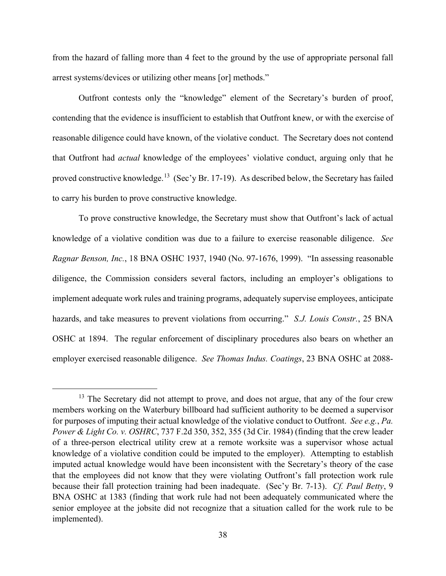from the hazard of falling more than 4 feet to the ground by the use of appropriate personal fall arrest systems/devices or utilizing other means [or] methods."

 Outfront contests only the "knowledge" element of the Secretary's burden of proof, contending that the evidence is insufficient to establish that Outfront knew, or with the exercise of reasonable diligence could have known, of the violative conduct. The Secretary does not contend that Outfront had *actual* knowledge of the employees' violative conduct, arguing only that he proved constructive knowledge.<sup>[13](#page-37-0)</sup> (Sec'y Br. 17-19). As described below, the Secretary has failed to carry his burden to prove constructive knowledge.

To prove constructive knowledge, the Secretary must show that Outfront's lack of actual knowledge of a violative condition was due to a failure to exercise reasonable diligence. *See Ragnar Benson, Inc.*, 18 BNA OSHC 1937, 1940 (No. 97-1676, 1999). "In assessing reasonable diligence, the Commission considers several factors, including an employer's obligations to implement adequate work rules and training programs, adequately supervise employees, anticipate hazards, and take measures to prevent violations from occurring." *S.J. Louis Constr.*, 25 BNA OSHC at 1894. The regular enforcement of disciplinary procedures also bears on whether an employer exercised reasonable diligence. *See Thomas Indus. Coatings*, 23 BNA OSHC at 2088-

<span id="page-37-0"></span><sup>&</sup>lt;sup>13</sup> The Secretary did not attempt to prove, and does not argue, that any of the four crew members working on the Waterbury billboard had sufficient authority to be deemed a supervisor for purposes of imputing their actual knowledge of the violative conduct to Outfront. *See e.g.*, *Pa. Power & Light Co. v. OSHRC*, 737 F.2d 350, 352, 355 (3d Cir. 1984) (finding that the crew leader of a three-person electrical utility crew at a remote worksite was a supervisor whose actual knowledge of a violative condition could be imputed to the employer). Attempting to establish imputed actual knowledge would have been inconsistent with the Secretary's theory of the case that the employees did not know that they were violating Outfront's fall protection work rule because their fall protection training had been inadequate. (Sec'y Br. 7-13). *Cf. Paul Betty*, 9 BNA OSHC at 1383 (finding that work rule had not been adequately communicated where the senior employee at the jobsite did not recognize that a situation called for the work rule to be implemented).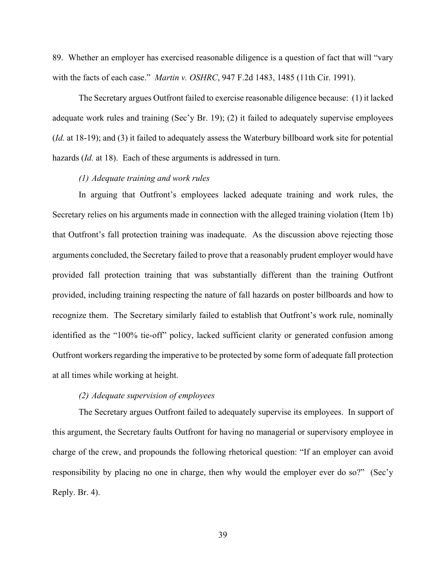89. Whether an employer has exercised reasonable diligence is a question of fact that will "vary with the facts of each case." *Martin v. OSHRC*, 947 F.2d 1483, 1485 (11th Cir. 1991).

The Secretary argues Outfront failed to exercise reasonable diligence because: (1) it lacked adequate work rules and training (Sec'y Br. 19); (2) it failed to adequately supervise employees (*Id.* at 18-19); and (3) it failed to adequately assess the Waterbury billboard work site for potential hazards (*Id.* at 18). Each of these arguments is addressed in turn.

## *(1) Adequate training and work rules*

In arguing that Outfront's employees lacked adequate training and work rules, the Secretary relies on his arguments made in connection with the alleged training violation (Item 1b) that Outfront's fall protection training was inadequate. As the discussion above rejecting those arguments concluded, the Secretary failed to prove that a reasonably prudent employer would have provided fall protection training that was substantially different than the training Outfront provided, including training respecting the nature of fall hazards on poster billboards and how to recognize them. The Secretary similarly failed to establish that Outfront's work rule, nominally identified as the "100% tie-off" policy, lacked sufficient clarity or generated confusion among Outfront workers regarding the imperative to be protected by some form of adequate fall protection at all times while working at height.

### *(2) Adequate supervision of employees*

The Secretary argues Outfront failed to adequately supervise its employees. In support of this argument, the Secretary faults Outfront for having no managerial or supervisory employee in charge of the crew, and propounds the following rhetorical question: "If an employer can avoid responsibility by placing no one in charge, then why would the employer ever do so?" (Sec'y Reply. Br. 4).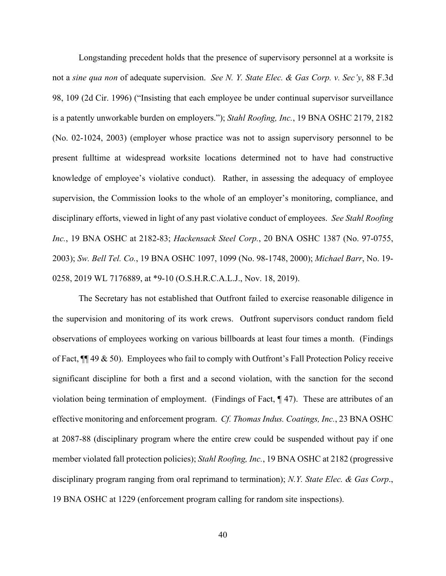Longstanding precedent holds that the presence of supervisory personnel at a worksite is not a *sine qua non* of adequate supervision. *See N. Y. State Elec. & Gas Corp. v. Sec'y*, 88 F.3d 98, 109 (2d Cir. 1996) ("Insisting that each employee be under continual supervisor surveillance is a patently unworkable burden on employers."); *Stahl Roofing, Inc.*, 19 BNA OSHC 2179, 2182 (No. 02-1024, 2003) (employer whose practice was not to assign supervisory personnel to be present fulltime at widespread worksite locations determined not to have had constructive knowledge of employee's violative conduct). Rather, in assessing the adequacy of employee supervision, the Commission looks to the whole of an employer's monitoring, compliance, and disciplinary efforts, viewed in light of any past violative conduct of employees. *See Stahl Roofing Inc.*, 19 BNA OSHC at 2182-83; *Hackensack Steel Corp.*, 20 BNA OSHC 1387 (No. 97-0755, 2003); *Sw. Bell Tel. Co.*, 19 BNA OSHC 1097, 1099 (No. 98-1748, 2000); *Michael Barr*, No. 19- 0258, 2019 WL 7176889, at \*9-10 (O.S.H.R.C.A.L.J., Nov. 18, 2019).

The Secretary has not established that Outfront failed to exercise reasonable diligence in the supervision and monitoring of its work crews. Outfront supervisors conduct random field observations of employees working on various billboards at least four times a month. (Findings of Fact, ¶¶ 49 & 50). Employees who fail to comply with Outfront's Fall Protection Policy receive significant discipline for both a first and a second violation, with the sanction for the second violation being termination of employment. (Findings of Fact, ¶ 47). These are attributes of an effective monitoring and enforcement program. *Cf. Thomas Indus. Coatings, Inc.*, 23 BNA OSHC at 2087-88 (disciplinary program where the entire crew could be suspended without pay if one member violated fall protection policies); *Stahl Roofing, Inc.*, 19 BNA OSHC at 2182 (progressive disciplinary program ranging from oral reprimand to termination); *N.Y. State Elec. & Gas Corp*., 19 BNA OSHC at 1229 (enforcement program calling for random site inspections).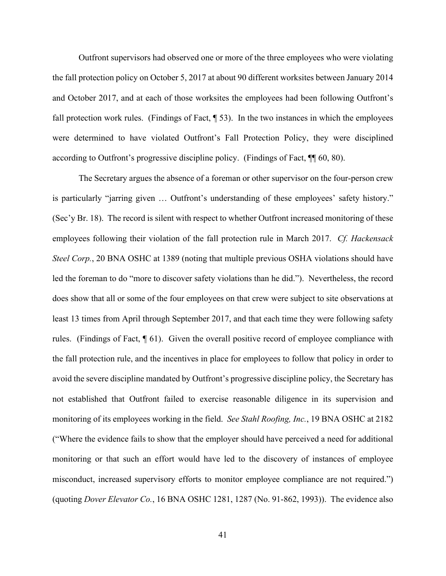Outfront supervisors had observed one or more of the three employees who were violating the fall protection policy on October 5, 2017 at about 90 different worksites between January 2014 and October 2017, and at each of those worksites the employees had been following Outfront's fall protection work rules. (Findings of Fact, ¶ 53). In the two instances in which the employees were determined to have violated Outfront's Fall Protection Policy, they were disciplined according to Outfront's progressive discipline policy. (Findings of Fact, ¶¶ 60, 80).

The Secretary argues the absence of a foreman or other supervisor on the four-person crew is particularly "jarring given … Outfront's understanding of these employees' safety history." (Sec'y Br. 18). The record is silent with respect to whether Outfront increased monitoring of these employees following their violation of the fall protection rule in March 2017. *Cf. Hackensack Steel Corp.*, 20 BNA OSHC at 1389 (noting that multiple previous OSHA violations should have led the foreman to do "more to discover safety violations than he did."). Nevertheless, the record does show that all or some of the four employees on that crew were subject to site observations at least 13 times from April through September 2017, and that each time they were following safety rules. (Findings of Fact, ¶ 61). Given the overall positive record of employee compliance with the fall protection rule, and the incentives in place for employees to follow that policy in order to avoid the severe discipline mandated by Outfront's progressive discipline policy, the Secretary has not established that Outfront failed to exercise reasonable diligence in its supervision and monitoring of its employees working in the field. *See Stahl Roofing, Inc.*, 19 BNA OSHC at 2182 ("Where the evidence fails to show that the employer should have perceived a need for additional monitoring or that such an effort would have led to the discovery of instances of employee misconduct, increased supervisory efforts to monitor employee compliance are not required.") (quoting *Dover Elevator Co.*, 16 BNA OSHC 1281, 1287 (No. 91-862, 1993)). The evidence also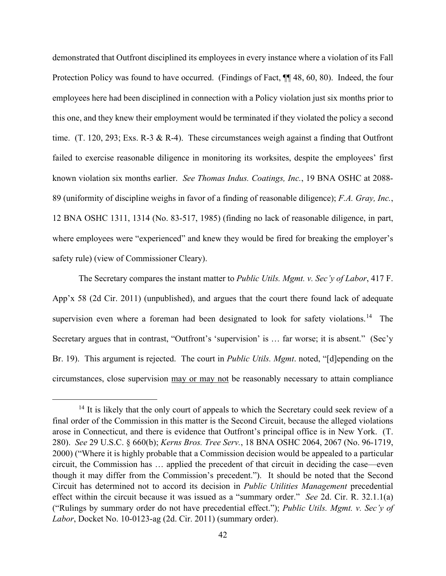demonstrated that Outfront disciplined its employees in every instance where a violation of its Fall Protection Policy was found to have occurred. (Findings of Fact,  $\P\P$  48, 60, 80). Indeed, the four employees here had been disciplined in connection with a Policy violation just six months prior to this one, and they knew their employment would be terminated if they violated the policy a second time. (T. 120, 293; Exs. R-3 & R-4). These circumstances weigh against a finding that Outfront failed to exercise reasonable diligence in monitoring its worksites, despite the employees' first known violation six months earlier. *See Thomas Indus. Coatings, Inc.*, 19 BNA OSHC at 2088- 89 (uniformity of discipline weighs in favor of a finding of reasonable diligence); *F.A. Gray, Inc.*, 12 BNA OSHC 1311, 1314 (No. 83-517, 1985) (finding no lack of reasonable diligence, in part, where employees were "experienced" and knew they would be fired for breaking the employer's safety rule) (view of Commissioner Cleary).

The Secretary compares the instant matter to *Public Utils. Mgmt. v. Sec'y of Labor*, 417 F. App'x 58 (2d Cir. 2011) (unpublished), and argues that the court there found lack of adequate supervision even where a foreman had been designated to look for safety violations.<sup>14</sup> The Secretary argues that in contrast, "Outfront's 'supervision' is ... far worse; it is absent." (Sec'y Br. 19). This argument is rejected. The court in *Public Utils. Mgmt*. noted, "[d]epending on the circumstances, close supervision may or may not be reasonably necessary to attain compliance

<span id="page-41-0"></span><sup>&</sup>lt;sup>14</sup> It is likely that the only court of appeals to which the Secretary could seek review of a final order of the Commission in this matter is the Second Circuit, because the alleged violations arose in Connecticut, and there is evidence that Outfront's principal office is in New York. (T. 280). *See* 29 U.S.C. § 660(b); *Kerns Bros. Tree Serv.*, 18 BNA OSHC 2064, 2067 (No. 96-1719, 2000) ("Where it is highly probable that a Commission decision would be appealed to a particular circuit, the Commission has … applied the precedent of that circuit in deciding the case—even though it may differ from the Commission's precedent."). It should be noted that the Second Circuit has determined not to accord its decision in *Public Utilities Management* precedential effect within the circuit because it was issued as a "summary order." *See* 2d. Cir. R. 32.1.1(a) ("Rulings by summary order do not have precedential effect."); *Public Utils. Mgmt. v. Sec'y of Labor*, Docket No. 10-0123-ag (2d. Cir. 2011) (summary order).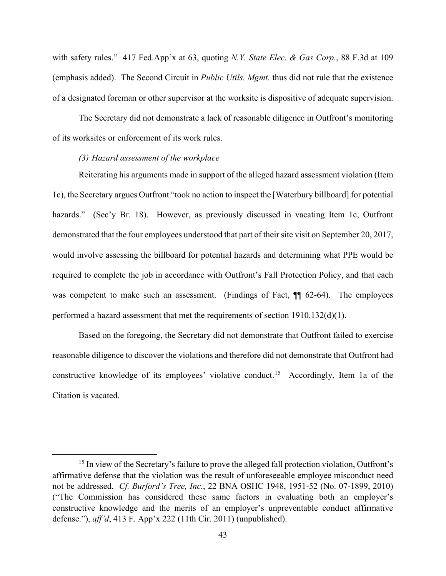with safety rules." 417 Fed.App'x at 63, quoting *N.Y. State Elec. & Gas Corp.*, 88 F.3d at 109 (emphasis added). The Second Circuit in *Public Utils. Mgmt.* thus did not rule that the existence of a designated foreman or other supervisor at the worksite is dispositive of adequate supervision.

The Secretary did not demonstrate a lack of reasonable diligence in Outfront's monitoring of its worksites or enforcement of its work rules.

#### *(3) Hazard assessment of the workplace*

Reiterating his arguments made in support of the alleged hazard assessment violation (Item 1c), the Secretary argues Outfront "took no action to inspect the [Waterbury billboard] for potential hazards." (Sec'y Br. 18). However, as previously discussed in vacating Item 1c, Outfront demonstrated that the four employees understood that part of their site visit on September 20, 2017, would involve assessing the billboard for potential hazards and determining what PPE would be required to complete the job in accordance with Outfront's Fall Protection Policy, and that each was competent to make such an assessment. (Findings of Fact,  $\P$  62-64). The employees performed a hazard assessment that met the requirements of section 1910.132(d)(1).

Based on the foregoing, the Secretary did not demonstrate that Outfront failed to exercise reasonable diligence to discover the violations and therefore did not demonstrate that Outfront had constructive knowledge of its employees' violative conduct.<sup>[15](#page-42-0)</sup> Accordingly, Item 1a of the Citation is vacated.

<span id="page-42-0"></span><sup>&</sup>lt;sup>15</sup> In view of the Secretary's failure to prove the alleged fall protection violation, Outfront's affirmative defense that the violation was the result of unforeseeable employee misconduct need not be addressed. *Cf. Burford's Tree, Inc.*, 22 BNA OSHC 1948, 1951-52 (No. 07-1899, 2010) ("The Commission has considered these same factors in evaluating both an employer's constructive knowledge and the merits of an employer's unpreventable conduct affirmative defense."), *aff'd*, 413 F. App'x 222 (11th Cir. 2011) (unpublished).